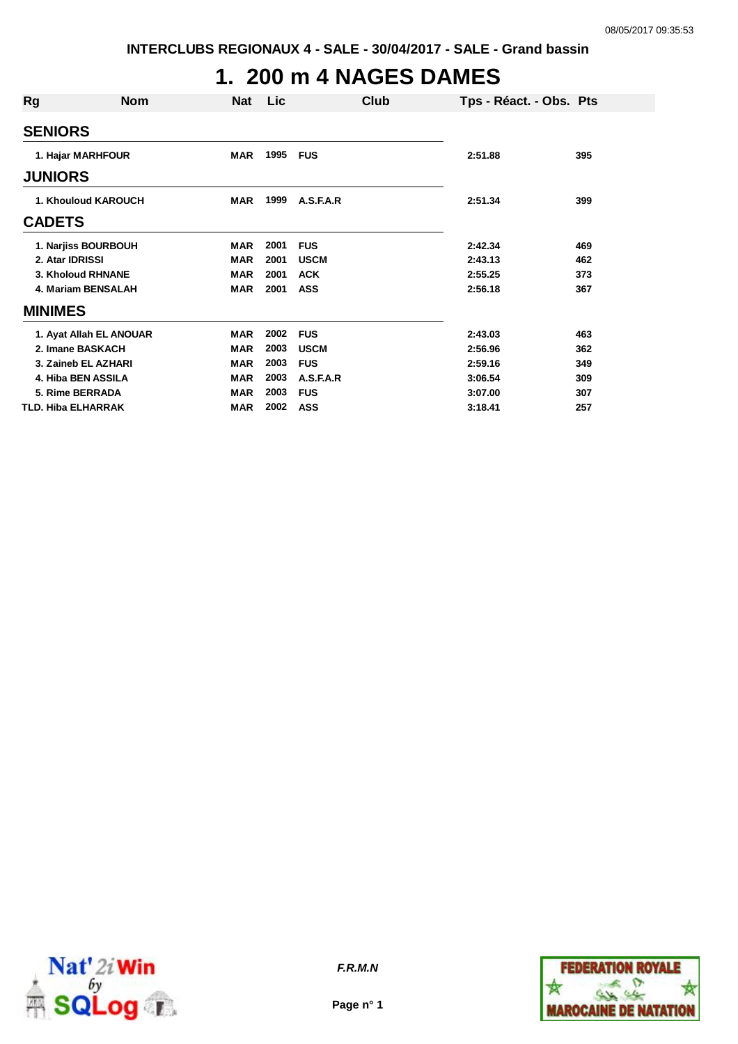## **1. 200 m 4 NAGES DAMES**

| Rg              | <b>Nom</b>              | <b>Nat</b> | Lic  | Club        |         | Tps - Réact. - Obs. Pts |
|-----------------|-------------------------|------------|------|-------------|---------|-------------------------|
| <b>SENIORS</b>  |                         |            |      |             |         |                         |
|                 | 1. Hajar MARHFOUR       | <b>MAR</b> | 1995 | FUS         | 2:51.88 | 395                     |
| <b>JUNIORS</b>  |                         |            |      |             |         |                         |
|                 | 1. Khouloud KAROUCH     | <b>MAR</b> | 1999 | A.S.F.A.R   | 2:51.34 | 399                     |
| <b>CADETS</b>   |                         |            |      |             |         |                         |
|                 | 1. Narjiss BOURBOUH     | <b>MAR</b> | 2001 | <b>FUS</b>  | 2:42.34 | 469                     |
| 2. Atar IDRISSI |                         | <b>MAR</b> | 2001 | <b>USCM</b> | 2:43.13 | 462                     |
|                 | 3. Kholoud RHNANE       | <b>MAR</b> | 2001 | <b>ACK</b>  | 2:55.25 | 373                     |
|                 | 4. Mariam BENSALAH      | <b>MAR</b> | 2001 | <b>ASS</b>  | 2:56.18 | 367                     |
| <b>MINIMES</b>  |                         |            |      |             |         |                         |
|                 | 1. Ayat Allah EL ANOUAR | <b>MAR</b> | 2002 | <b>FUS</b>  | 2:43.03 | 463                     |
|                 | 2. Imane BASKACH        | <b>MAR</b> | 2003 | <b>USCM</b> | 2:56.96 | 362                     |
|                 | 3. Zaineb EL AZHARI     | <b>MAR</b> | 2003 | <b>FUS</b>  | 2:59.16 | 349                     |
|                 | 4. Hiba BEN ASSILA      | <b>MAR</b> | 2003 | A.S.F.A.R   | 3:06.54 | 309                     |
|                 | 5. Rime BERRADA         | <b>MAR</b> | 2003 | <b>FUS</b>  | 3:07.00 | 307                     |
|                 | TLD. Hiba ELHARRAK      | <b>MAR</b> | 2002 | <b>ASS</b>  | 3:18.41 | 257                     |



**Page n° 1**

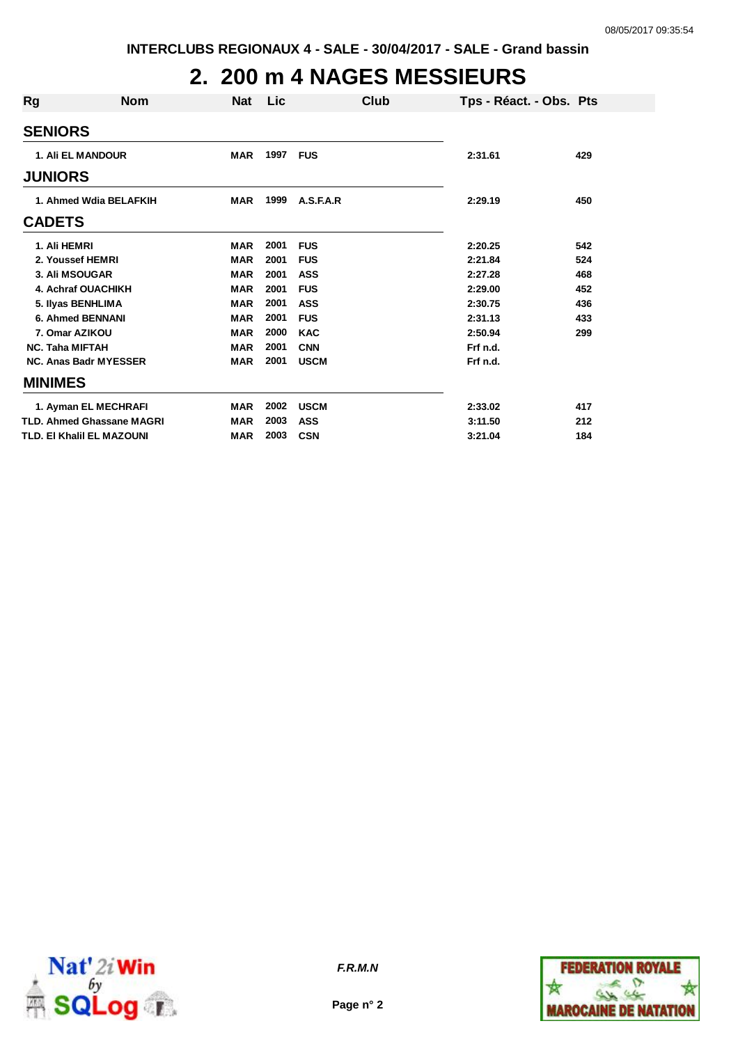## **2. 200 m 4 NAGES MESSIEURS**

| Rg                     | <b>Nom</b>                   | <b>Nat</b> | Lic      |             | Club | Tps - Réact. - Obs. Pts |     |
|------------------------|------------------------------|------------|----------|-------------|------|-------------------------|-----|
| <b>SENIORS</b>         |                              |            |          |             |      |                         |     |
|                        | <b>1. Ali EL MANDOUR</b>     | <b>MAR</b> | 1997 FUS |             |      | 2:31.61                 | 429 |
| <b>JUNIORS</b>         |                              |            |          |             |      |                         |     |
|                        | 1. Ahmed Wdia BELAFKIH       | <b>MAR</b> | 1999     | A.S.F.A.R   |      | 2:29.19                 | 450 |
| <b>CADETS</b>          |                              |            |          |             |      |                         |     |
| 1. Ali HEMRI           |                              | <b>MAR</b> | 2001     | <b>FUS</b>  |      | 2:20.25                 | 542 |
|                        | 2. Youssef HEMRI             | <b>MAR</b> | 2001     | <b>FUS</b>  |      | 2:21.84                 | 524 |
|                        | 3. Ali MSOUGAR               | <b>MAR</b> | 2001     | <b>ASS</b>  |      | 2:27.28                 | 468 |
|                        | 4. Achraf OUACHIKH           | <b>MAR</b> | 2001     | <b>FUS</b>  |      | 2:29.00                 | 452 |
|                        | 5. Ilyas BENHLIMA            | <b>MAR</b> | 2001     | <b>ASS</b>  |      | 2:30.75                 | 436 |
|                        | <b>6. Ahmed BENNANI</b>      | <b>MAR</b> | 2001     | <b>FUS</b>  |      | 2:31.13                 | 433 |
|                        | 7. Omar AZIKOU               | <b>MAR</b> | 2000     | <b>KAC</b>  |      | 2:50.94                 | 299 |
| <b>NC. Taha MIFTAH</b> |                              | <b>MAR</b> | 2001     | <b>CNN</b>  |      | Frf n.d.                |     |
|                        | <b>NC. Anas Badr MYESSER</b> | <b>MAR</b> | 2001     | <b>USCM</b> |      | Frf n.d.                |     |
| <b>MINIMES</b>         |                              |            |          |             |      |                         |     |
|                        | 1. Ayman EL MECHRAFI         | <b>MAR</b> | 2002     | <b>USCM</b> |      | 2:33.02                 | 417 |
|                        | TLD. Ahmed Ghassane MAGRI    | <b>MAR</b> | 2003     | <b>ASS</b>  |      | 3:11.50                 | 212 |
|                        | TLD. EI Khalil EL MAZOUNI    | <b>MAR</b> | 2003     | <b>CSN</b>  |      | 3:21.04                 | 184 |
|                        |                              |            |          |             |      |                         |     |



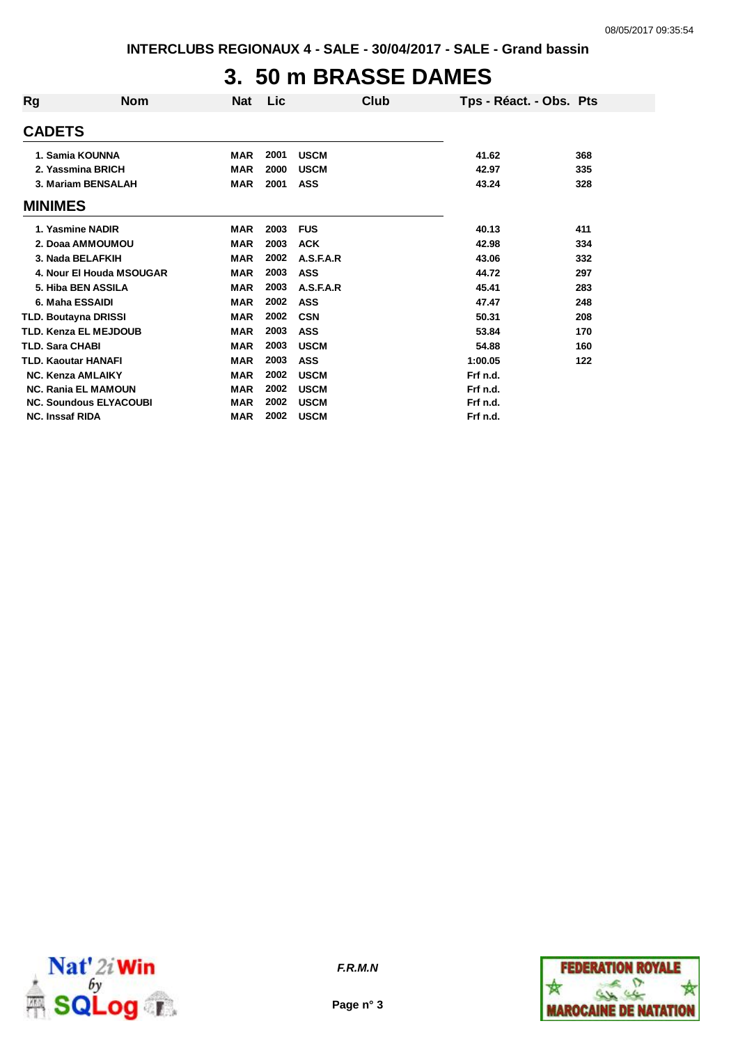## **3. 50 m BRASSE DAMES**

| Rg                     | <b>Nom</b>                    | <b>Nat</b> | Lic  | Club        | Tps - Réact. - Obs. Pts |     |
|------------------------|-------------------------------|------------|------|-------------|-------------------------|-----|
| <b>CADETS</b>          |                               |            |      |             |                         |     |
|                        | 1. Samia KOUNNA               | <b>MAR</b> | 2001 | <b>USCM</b> | 41.62                   | 368 |
|                        | 2. Yassmina BRICH             | <b>MAR</b> | 2000 | <b>USCM</b> | 42.97                   | 335 |
|                        | 3. Mariam BENSALAH            | <b>MAR</b> | 2001 | <b>ASS</b>  | 43.24                   | 328 |
| <b>MINIMES</b>         |                               |            |      |             |                         |     |
|                        | 1. Yasmine NADIR              | <b>MAR</b> | 2003 | <b>FUS</b>  | 40.13                   | 411 |
|                        | 2. Doaa AMMOUMOU              | <b>MAR</b> | 2003 | <b>ACK</b>  | 42.98                   | 334 |
|                        | 3. Nada BELAFKIH              | <b>MAR</b> | 2002 | A.S.F.A.R   | 43.06                   | 332 |
|                        | 4. Nour El Houda MSOUGAR      | <b>MAR</b> | 2003 | <b>ASS</b>  | 44.72                   | 297 |
|                        | 5. Hiba BEN ASSILA            | <b>MAR</b> | 2003 | A.S.F.A.R   | 45.41                   | 283 |
|                        | 6. Maha ESSAIDI               | <b>MAR</b> | 2002 | <b>ASS</b>  | 47.47                   | 248 |
|                        | <b>TLD. Boutayna DRISSI</b>   | <b>MAR</b> | 2002 | <b>CSN</b>  | 50.31                   | 208 |
|                        | <b>TLD. Kenza EL MEJDOUB</b>  | <b>MAR</b> | 2003 | <b>ASS</b>  | 53.84                   | 170 |
| <b>TLD. Sara CHABI</b> |                               | <b>MAR</b> | 2003 | <b>USCM</b> | 54.88                   | 160 |
|                        | <b>TLD. Kaoutar HANAFI</b>    | <b>MAR</b> | 2003 | <b>ASS</b>  | 1:00.05                 | 122 |
|                        | <b>NC. Kenza AMLAIKY</b>      | <b>MAR</b> | 2002 | <b>USCM</b> | Frf n.d.                |     |
|                        | <b>NC. Rania EL MAMOUN</b>    | <b>MAR</b> | 2002 | <b>USCM</b> | Frf n.d.                |     |
|                        | <b>NC. Soundous ELYACOUBI</b> | <b>MAR</b> | 2002 | <b>USCM</b> | Frf n.d.                |     |
| <b>NC. Inssaf RIDA</b> |                               | <b>MAR</b> | 2002 | <b>USCM</b> | Frf n.d.                |     |



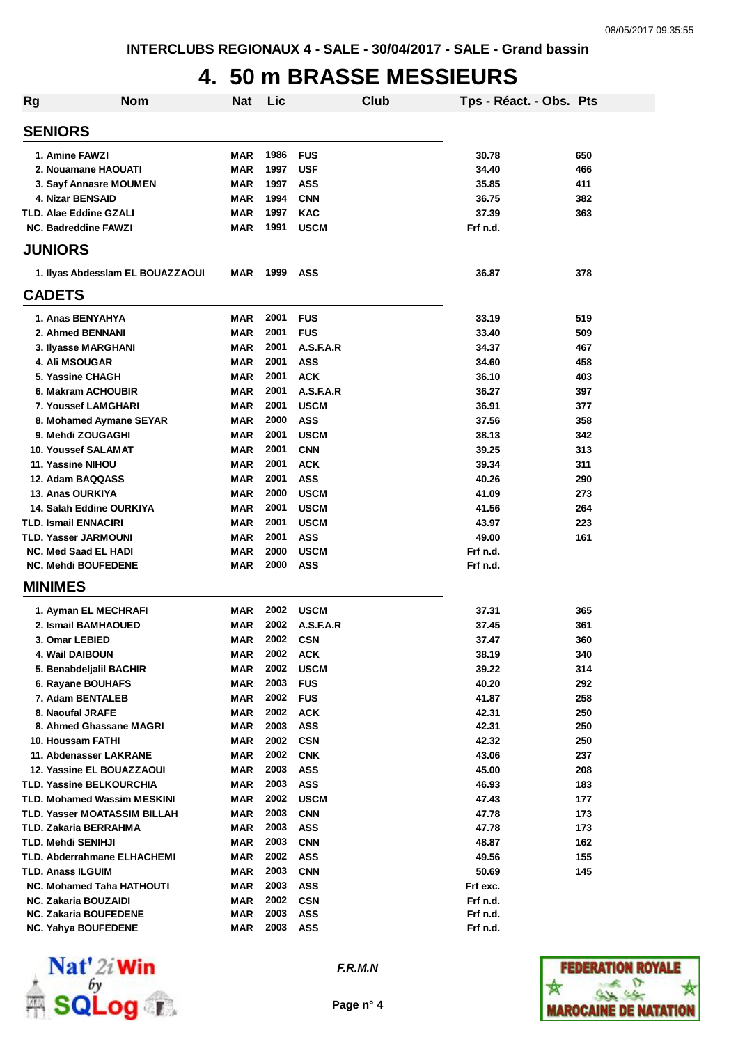## **4. 50 m BRASSE MESSIEURS**

| <b>Rg</b> | <b>Nom</b>                          | <b>Nat</b> | Lic  |             | Club | Tps - Réact. - Obs. Pts |     |
|-----------|-------------------------------------|------------|------|-------------|------|-------------------------|-----|
|           | <b>SENIORS</b>                      |            |      |             |      |                         |     |
|           | 1. Amine FAWZI                      | MAR        | 1986 | <b>FUS</b>  |      | 30.78                   | 650 |
|           | 2. Nouamane HAOUATI                 | MAR        | 1997 | <b>USF</b>  |      | 34.40                   | 466 |
|           | 3. Sayf Annasre MOUMEN              | <b>MAR</b> | 1997 | <b>ASS</b>  |      | 35.85                   | 411 |
|           | 4. Nizar BENSAID                    | <b>MAR</b> | 1994 | <b>CNN</b>  |      | 36.75                   | 382 |
|           | TLD. Alae Eddine GZALI              | <b>MAR</b> | 1997 | <b>KAC</b>  |      | 37.39                   | 363 |
|           | <b>NC. Badreddine FAWZI</b>         | <b>MAR</b> | 1991 | <b>USCM</b> |      | Frf n.d.                |     |
|           | <b>JUNIORS</b>                      |            |      |             |      |                         |     |
|           | 1. Ilyas Abdessiam EL BOUAZZAOUI    | MAR        | 1999 | <b>ASS</b>  |      | 36.87                   | 378 |
|           | <b>CADETS</b>                       |            |      |             |      |                         |     |
|           | 1. Anas BENYAHYA                    | <b>MAR</b> | 2001 | <b>FUS</b>  |      | 33.19                   | 519 |
|           | 2. Ahmed BENNANI                    | <b>MAR</b> | 2001 | <b>FUS</b>  |      | 33.40                   | 509 |
|           | 3. Ilyasse MARGHANI                 | <b>MAR</b> | 2001 | A.S.F.A.R   |      | 34.37                   | 467 |
|           | <b>4. Ali MSOUGAR</b>               | <b>MAR</b> | 2001 | <b>ASS</b>  |      | 34.60                   | 458 |
|           | 5. Yassine CHAGH                    | <b>MAR</b> | 2001 | <b>ACK</b>  |      | 36.10                   | 403 |
|           | 6. Makram ACHOUBIR                  | <b>MAR</b> | 2001 | A.S.F.A.R   |      | 36.27                   | 397 |
|           | <b>7. Youssef LAMGHARI</b>          | MAR        | 2001 | <b>USCM</b> |      | 36.91                   | 377 |
|           | 8. Mohamed Aymane SEYAR             | MAR        | 2000 | <b>ASS</b>  |      | 37.56                   | 358 |
|           | 9. Mehdi ZOUGAGHI                   | <b>MAR</b> | 2001 | <b>USCM</b> |      | 38.13                   | 342 |
|           | <b>10. Youssef SALAMAT</b>          | <b>MAR</b> | 2001 | <b>CNN</b>  |      | 39.25                   | 313 |
|           | 11. Yassine NIHOU                   | <b>MAR</b> | 2001 | <b>ACK</b>  |      | 39.34                   | 311 |
|           | 12. Adam BAQQASS                    | <b>MAR</b> | 2001 | <b>ASS</b>  |      | 40.26                   | 290 |
|           | 13. Anas OURKIYA                    | MAR        | 2000 | <b>USCM</b> |      | 41.09                   | 273 |
|           | 14. Salah Eddine OURKIYA            | MAR        | 2001 | <b>USCM</b> |      | 41.56                   | 264 |
|           | <b>TLD. Ismail ENNACIRI</b>         | <b>MAR</b> | 2001 | <b>USCM</b> |      | 43.97                   | 223 |
|           | <b>TLD. Yasser JARMOUNI</b>         | <b>MAR</b> | 2001 | <b>ASS</b>  |      | 49.00                   | 161 |
|           | <b>NC. Med Saad EL HADI</b>         | <b>MAR</b> | 2000 | <b>USCM</b> |      | Frf n.d.                |     |
|           | <b>NC. Mehdi BOUFEDENE</b>          | <b>MAR</b> | 2000 | <b>ASS</b>  |      | Frf n.d.                |     |
|           | <b>MINIMES</b>                      |            |      |             |      |                         |     |
|           | 1. Ayman EL MECHRAFI                | MAR        | 2002 | <b>USCM</b> |      | 37.31                   | 365 |
|           | 2. Ismail BAMHAOUED                 | MAR        | 2002 | A.S.F.A.R   |      | 37.45                   | 361 |
|           | 3. Omar LEBIED                      | <b>MAR</b> | 2002 | <b>CSN</b>  |      | 37.47                   | 360 |
|           | 4. Wail DAIBOUN                     | MAR        | 2002 | <b>ACK</b>  |      | 38.19                   | 340 |
|           | 5. Benabdeljalil BACHIR             | <b>MAR</b> | 2002 | <b>USCM</b> |      | 39.22                   | 314 |
|           | 6. Rayane BOUHAFS                   | MAR        | 2003 | <b>FUS</b>  |      | 40.20                   | 292 |
|           | 7. Adam BENTALEB                    | <b>MAR</b> | 2002 | <b>FUS</b>  |      | 41.87                   | 258 |
|           | 8. Naoufal JRAFE                    | <b>MAR</b> | 2002 | <b>ACK</b>  |      | 42.31                   | 250 |
|           | 8. Ahmed Ghassane MAGRI             | MAR        | 2003 | <b>ASS</b>  |      | 42.31                   | 250 |
|           | 10. Houssam FATHI                   | MAR        | 2002 | <b>CSN</b>  |      | 42.32                   | 250 |
|           | 11. Abdenasser LAKRANE              | MAR        | 2002 | <b>CNK</b>  |      | 43.06                   | 237 |
|           | <b>12. Yassine EL BOUAZZAOUI</b>    | MAR        | 2003 | ASS         |      | 45.00                   | 208 |
|           | <b>TLD. Yassine BELKOURCHIA</b>     | MAR        | 2003 | <b>ASS</b>  |      | 46.93                   | 183 |
|           | <b>TLD. Mohamed Wassim MESKINI</b>  | MAR        | 2002 | <b>USCM</b> |      | 47.43                   | 177 |
|           | <b>TLD. Yasser MOATASSIM BILLAH</b> | MAR        | 2003 | <b>CNN</b>  |      | 47.78                   | 173 |
|           | TLD. Zakaria BERRAHMA               | MAR        | 2003 | ASS         |      | 47.78                   | 173 |
|           | TLD. Mehdi SENIHJI                  | MAR        | 2003 | <b>CNN</b>  |      | 48.87                   | 162 |
|           | <b>TLD. Abderrahmane ELHACHEMI</b>  | MAR        | 2002 | <b>ASS</b>  |      | 49.56                   | 155 |
|           | <b>TLD. Anass ILGUIM</b>            | MAR        | 2003 | <b>CNN</b>  |      | 50.69                   | 145 |
|           | <b>NC. Mohamed Taha HATHOUTI</b>    | MAR        | 2003 | <b>ASS</b>  |      | Frf exc.                |     |
|           | <b>NC. Zakaria BOUZAIDI</b>         | MAR        | 2002 | <b>CSN</b>  |      | Frf n.d.                |     |
|           | NC. Zakaria BOUFEDENE               | MAR        | 2003 | ASS         |      | Frf n.d.                |     |
|           | <b>NC. Yahya BOUFEDENE</b>          | MAR        | 2003 | ASS         |      | Frf n.d.                |     |



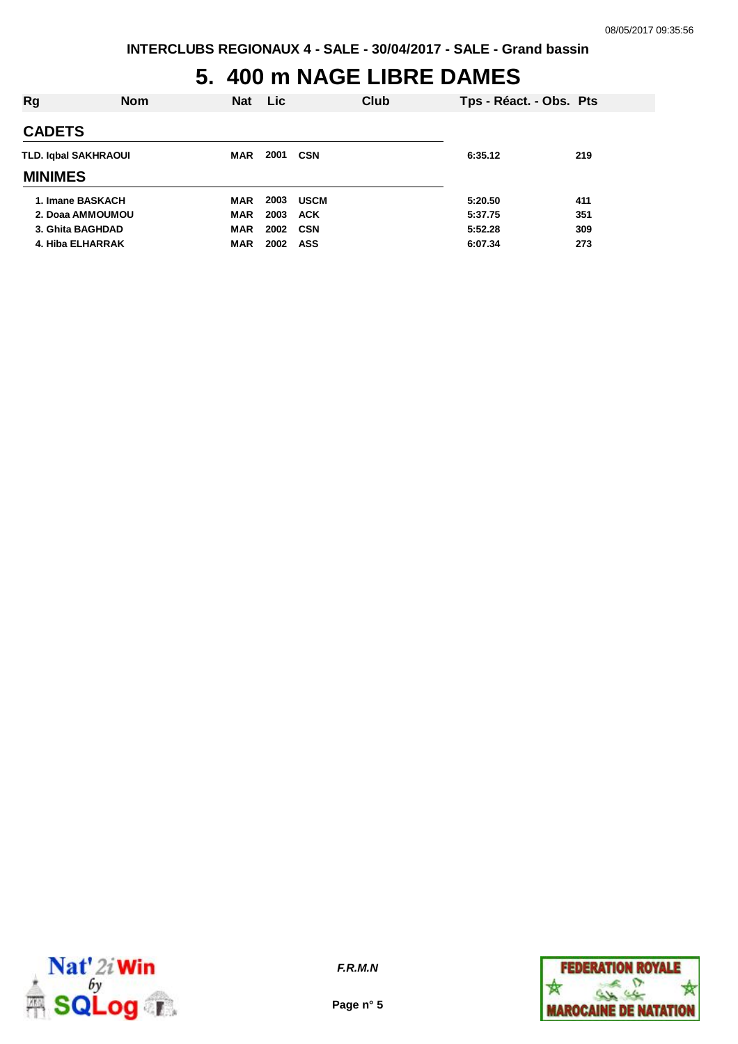# **5. 400 m NAGE LIBRE DAMES**

| Rg                   | <b>Nom</b> | <b>Nat</b> | Lic        |             | Club    | Tps - Réact. - Obs. Pts |     |
|----------------------|------------|------------|------------|-------------|---------|-------------------------|-----|
| <b>CADETS</b>        |            |            |            |             |         |                         |     |
| TLD. Iqbal SAKHRAOUI | MAR        | 2001       | <b>CSN</b> |             | 6:35.12 | 219                     |     |
| <b>MINIMES</b>       |            |            |            |             |         |                         |     |
| 1. Imane BASKACH     |            | <b>MAR</b> | 2003       | <b>USCM</b> |         | 5:20.50                 | 411 |
| 2. Doaa AMMOUMOU     |            | <b>MAR</b> | 2003       | <b>ACK</b>  |         | 5:37.75                 | 351 |
| 3. Ghita BAGHDAD     |            | <b>MAR</b> | 2002       | <b>CSN</b>  |         | 5:52.28                 | 309 |
| 4. Hiba ELHARRAK     |            | <b>MAR</b> | 2002       | <b>ASS</b>  |         | 6:07.34                 | 273 |



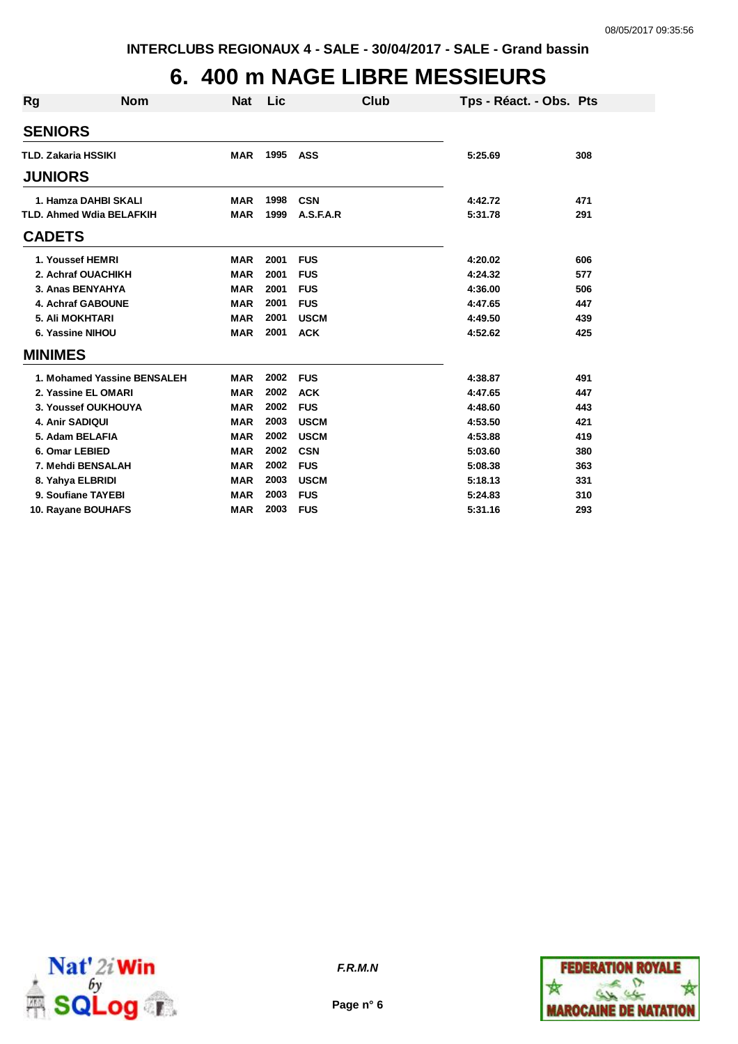## **6. 400 m NAGE LIBRE MESSIEURS**

| <b>Rg</b>      | <b>Nom</b>                      | <b>Nat</b> | Lic  | Club        | Tps - Réact. - Obs. Pts |     |
|----------------|---------------------------------|------------|------|-------------|-------------------------|-----|
| <b>SENIORS</b> |                                 |            |      |             |                         |     |
|                | <b>TLD. Zakaria HSSIKI</b>      | <b>MAR</b> | 1995 | ASS         | 5:25.69                 | 308 |
| <b>JUNIORS</b> |                                 |            |      |             |                         |     |
|                | 1. Hamza DAHBI SKALI            | <b>MAR</b> | 1998 | <b>CSN</b>  | 4:42.72                 | 471 |
|                | <b>TLD. Ahmed Wdia BELAFKIH</b> | <b>MAR</b> | 1999 | A.S.F.A.R   | 5:31.78                 | 291 |
| <b>CADETS</b>  |                                 |            |      |             |                         |     |
|                | 1. Youssef HEMRI                | <b>MAR</b> | 2001 | <b>FUS</b>  | 4:20.02                 | 606 |
|                | 2. Achraf OUACHIKH              | <b>MAR</b> | 2001 | <b>FUS</b>  | 4:24.32                 | 577 |
|                | 3. Anas BENYAHYA                | <b>MAR</b> | 2001 | <b>FUS</b>  | 4:36.00                 | 506 |
|                | 4. Achraf GABOUNE               | <b>MAR</b> | 2001 | <b>FUS</b>  | 4:47.65                 | 447 |
|                | <b>5. Ali MOKHTARI</b>          | <b>MAR</b> | 2001 | <b>USCM</b> | 4:49.50                 | 439 |
|                | 6. Yassine NIHOU                | <b>MAR</b> | 2001 | <b>ACK</b>  | 4:52.62                 | 425 |
| <b>MINIMES</b> |                                 |            |      |             |                         |     |
|                | 1. Mohamed Yassine BENSALEH     | <b>MAR</b> | 2002 | <b>FUS</b>  | 4:38.87                 | 491 |
|                | 2. Yassine EL OMARI             | <b>MAR</b> | 2002 | <b>ACK</b>  | 4:47.65                 | 447 |
|                | 3. Youssef OUKHOUYA             | <b>MAR</b> | 2002 | <b>FUS</b>  | 4:48.60                 | 443 |
|                | 4. Anir SADIQUI                 | <b>MAR</b> | 2003 | <b>USCM</b> | 4:53.50                 | 421 |
|                | 5. Adam BELAFIA                 | <b>MAR</b> | 2002 | <b>USCM</b> | 4:53.88                 | 419 |
|                | 6. Omar LEBIED                  | <b>MAR</b> | 2002 | <b>CSN</b>  | 5:03.60                 | 380 |
|                | 7. Mehdi BENSALAH               | <b>MAR</b> | 2002 | <b>FUS</b>  | 5:08.38                 | 363 |
|                | 8. Yahya ELBRIDI                | <b>MAR</b> | 2003 | <b>USCM</b> | 5:18.13                 | 331 |
|                | 9. Soufiane TAYEBI              | <b>MAR</b> | 2003 | <b>FUS</b>  | 5:24.83                 | 310 |
|                | 10. Rayane BOUHAFS              | <b>MAR</b> | 2003 | <b>FUS</b>  | 5:31.16                 | 293 |



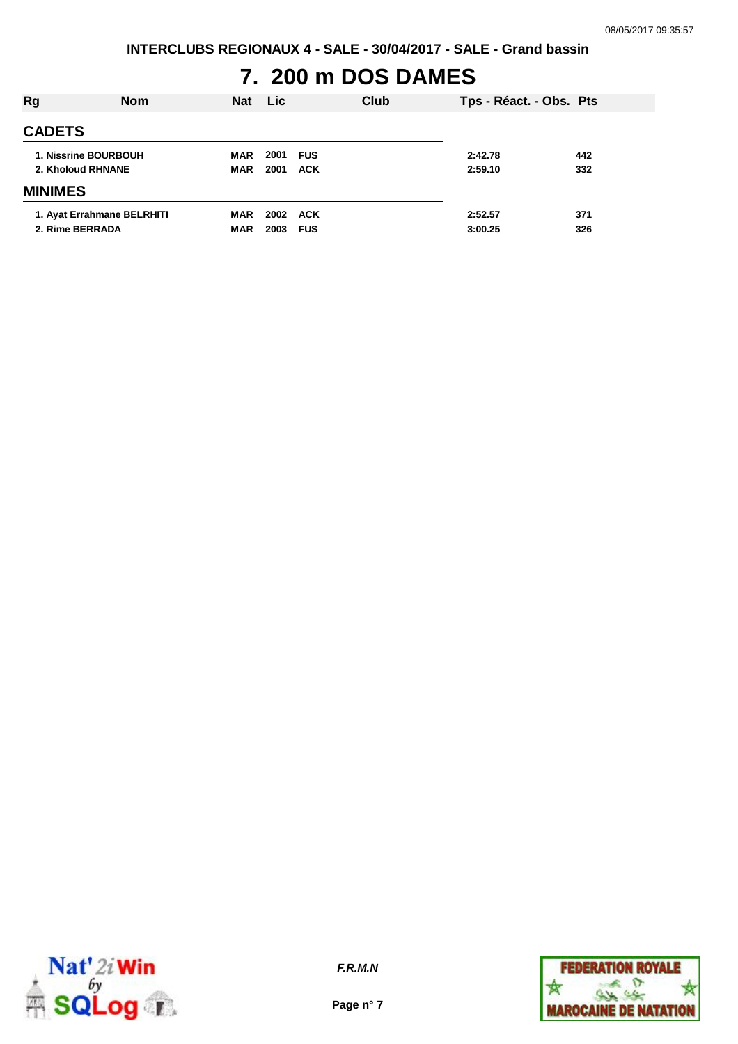**INTERCLUBS REGIONAUX 4 - SALE - 30/04/2017 - SALE - Grand bassin**

# **7. 200 m DOS DAMES**

| Rg                | <b>Nom</b>                 | <b>Nat</b>        | <b>Lic</b>   |                          | Club | Tps - Réact. - Obs. Pts |            |
|-------------------|----------------------------|-------------------|--------------|--------------------------|------|-------------------------|------------|
| <b>CADETS</b>     |                            |                   |              |                          |      |                         |            |
| 2. Kholoud RHNANE | 1. Nissrine BOURBOUH       | MAR<br><b>MAR</b> | 2001<br>2001 | <b>FUS</b><br><b>ACK</b> |      | 2:42.78<br>2:59.10      | 442<br>332 |
| <b>MINIMES</b>    |                            |                   |              |                          |      |                         |            |
| 2. Rime BERRADA   | 1. Ayat Errahmane BELRHITI | MAR<br><b>MAR</b> | 2002<br>2003 | ACK<br><b>FUS</b>        |      | 2:52.57<br>3:00.25      | 371<br>326 |



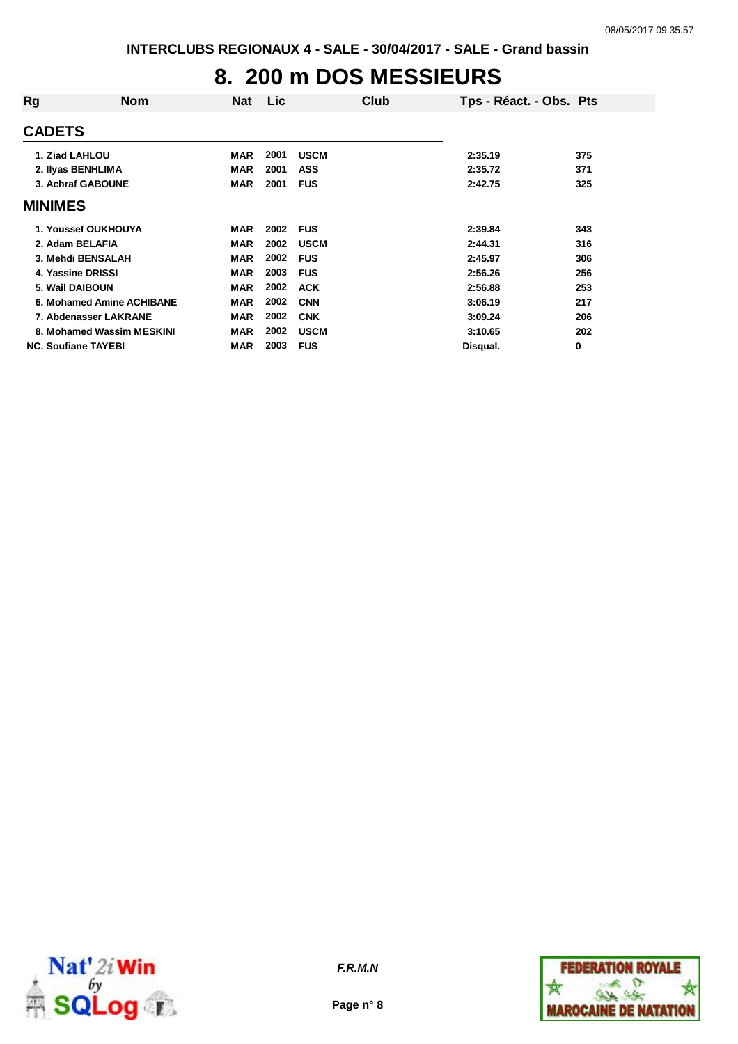# **8. 200 m DOS MESSIEURS**

| Rg                         | <b>Nom</b>                | <b>Nat</b> | <b>Lic</b> |             | Club | Tps - Réact. - Obs. Pts |     |
|----------------------------|---------------------------|------------|------------|-------------|------|-------------------------|-----|
| <b>CADETS</b>              |                           |            |            |             |      |                         |     |
| 1. Ziad LAHLOU             |                           | MAR        | 2001       | <b>USCM</b> |      | 2:35.19                 | 375 |
| 2. Ilyas BENHLIMA          |                           | MAR        | 2001       | <b>ASS</b>  |      | 2:35.72                 | 371 |
| 3. Achraf GABOUNE          |                           | <b>MAR</b> | 2001       | <b>FUS</b>  |      | 2:42.75                 | 325 |
| <b>MINIMES</b>             |                           |            |            |             |      |                         |     |
| 1. Youssef OUKHOUYA        |                           | MAR        | 2002       | <b>FUS</b>  |      | 2:39.84                 | 343 |
| 2. Adam BELAFIA            |                           | <b>MAR</b> | 2002       | <b>USCM</b> |      | 2:44.31                 | 316 |
| 3. Mehdi BENSALAH          |                           | <b>MAR</b> | 2002       | <b>FUS</b>  |      | 2:45.97                 | 306 |
| 4. Yassine DRISSI          |                           | <b>MAR</b> | 2003       | <b>FUS</b>  |      | 2:56.26                 | 256 |
| 5. Wail DAIBOUN            |                           | <b>MAR</b> | 2002       | <b>ACK</b>  |      | 2:56.88                 | 253 |
|                            | 6. Mohamed Amine ACHIBANE | <b>MAR</b> | 2002       | <b>CNN</b>  |      | 3:06.19                 | 217 |
| 7. Abdenasser LAKRANE      |                           | MAR        | 2002       | <b>CNK</b>  |      | 3:09.24                 | 206 |
|                            | 8. Mohamed Wassim MESKINI | MAR        | 2002       | <b>USCM</b> |      | 3:10.65                 | 202 |
| <b>NC. Soufiane TAYEBI</b> |                           | <b>MAR</b> | 2003       | <b>FUS</b>  |      | Disqual.                | 0   |



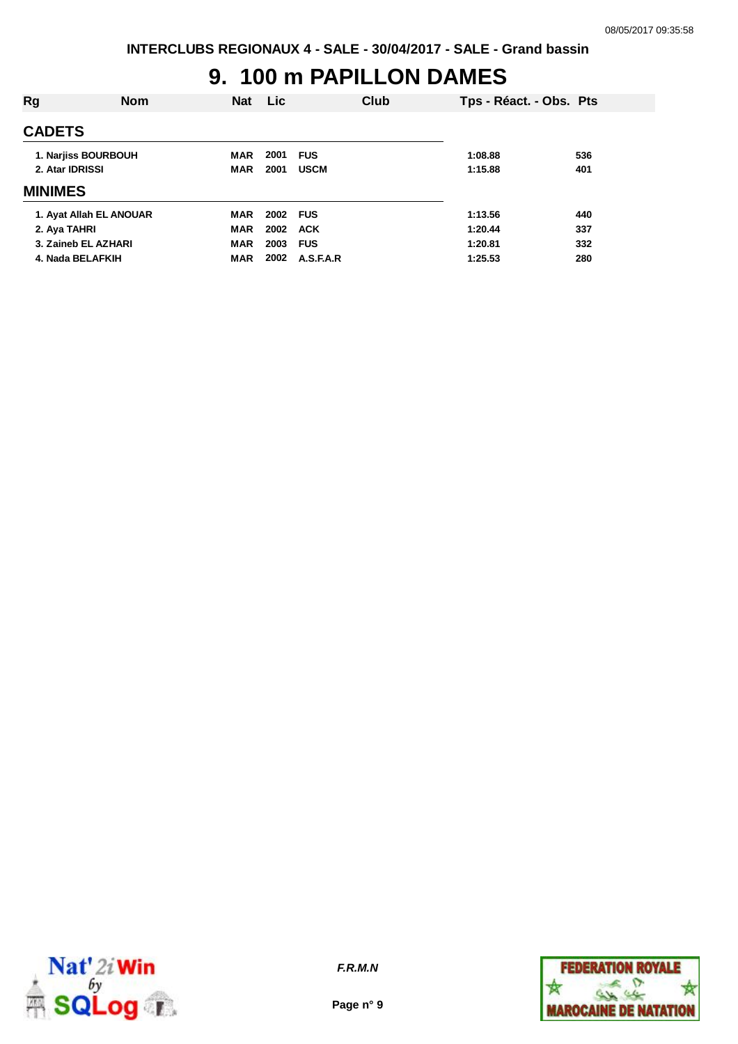#### **9. 100 m PAPILLON DAMES**

| Rg                      | <b>Nom</b> | <b>Nat</b> | Lic      |             | Club | Tps - Réact. - Obs. Pts |     |
|-------------------------|------------|------------|----------|-------------|------|-------------------------|-----|
| <b>CADETS</b>           |            |            |          |             |      |                         |     |
| 1. Narjiss BOURBOUH     |            | MAR        | 2001     | <b>FUS</b>  |      | 1:08.88                 | 536 |
| 2. Atar IDRISSI         |            | <b>MAR</b> | 2001     | <b>USCM</b> |      | 1:15.88                 | 401 |
| <b>MINIMES</b>          |            |            |          |             |      |                         |     |
| 1. Ayat Allah EL ANOUAR |            | <b>MAR</b> | 2002 FUS |             |      | 1:13.56                 | 440 |
| 2. Aya TAHRI            |            | <b>MAR</b> | 2002 ACK |             |      | 1:20.44                 | 337 |
| 3. Zaineb EL AZHARI     |            | <b>MAR</b> | 2003     | <b>FUS</b>  |      | 1:20.81                 | 332 |
| 4. Nada BELAFKIH        |            | <b>MAR</b> | 2002     | A.S.F.A.R   |      | 1:25.53                 | 280 |



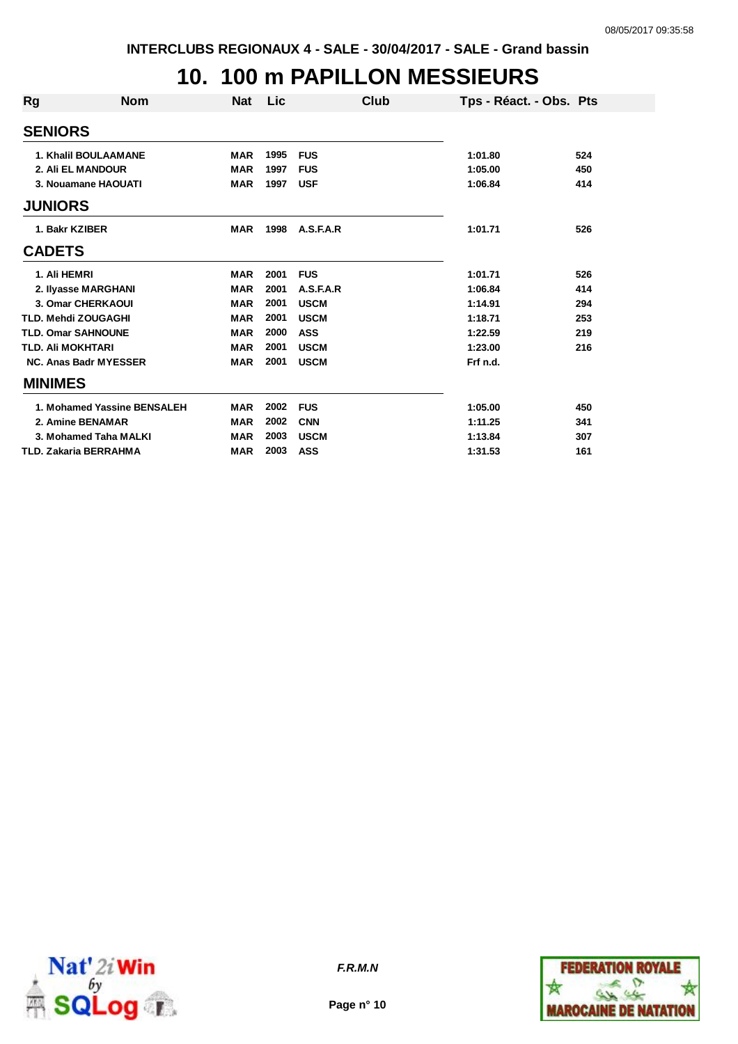### **10. 100 m PAPILLON MESSIEURS**

| Rg                         | <b>Nom</b>                   | <b>Nat</b> | Lic  |             | Club | Tps - Réact. - Obs. Pts |     |
|----------------------------|------------------------------|------------|------|-------------|------|-------------------------|-----|
| <b>SENIORS</b>             |                              |            |      |             |      |                         |     |
|                            | <b>1. Khalil BOULAAMANE</b>  | <b>MAR</b> | 1995 | <b>FUS</b>  |      | 1:01.80                 | 524 |
|                            | 2. Ali EL MANDOUR            | <b>MAR</b> | 1997 | <b>FUS</b>  |      | 1:05.00                 | 450 |
|                            | 3. Nouamane HAOUATI          | <b>MAR</b> | 1997 | <b>USF</b>  |      | 1:06.84                 | 414 |
| <b>JUNIORS</b>             |                              |            |      |             |      |                         |     |
| 1. Bakr KZIBER             |                              | <b>MAR</b> | 1998 | A.S.F.A.R   |      | 1:01.71                 | 526 |
| <b>CADETS</b>              |                              |            |      |             |      |                         |     |
| 1. Ali HEMRI               |                              | <b>MAR</b> | 2001 | <b>FUS</b>  |      | 1:01.71                 | 526 |
|                            | 2. Ilyasse MARGHANI          | <b>MAR</b> | 2001 | A.S.F.A.R   |      | 1:06.84                 | 414 |
|                            | 3. Omar CHERKAOUI            | <b>MAR</b> | 2001 | <b>USCM</b> |      | 1:14.91                 | 294 |
| <b>TLD. Mehdi ZOUGAGHI</b> |                              | <b>MAR</b> | 2001 | <b>USCM</b> |      | 1:18.71                 | 253 |
| <b>TLD. Omar SAHNOUNE</b>  |                              | <b>MAR</b> | 2000 | <b>ASS</b>  |      | 1:22.59                 | 219 |
| <b>TLD. AII MOKHTARI</b>   |                              | <b>MAR</b> | 2001 | <b>USCM</b> |      | 1:23.00                 | 216 |
|                            | <b>NC. Anas Badr MYESSER</b> | <b>MAR</b> | 2001 | <b>USCM</b> |      | Frf n.d.                |     |
| <b>MINIMES</b>             |                              |            |      |             |      |                         |     |
|                            | 1. Mohamed Yassine BENSALEH  | <b>MAR</b> | 2002 | <b>FUS</b>  |      | 1:05.00                 | 450 |
|                            | 2. Amine BENAMAR             | <b>MAR</b> | 2002 | <b>CNN</b>  |      | 1:11.25                 | 341 |
|                            | 3. Mohamed Taha MALKI        | <b>MAR</b> | 2003 | <b>USCM</b> |      | 1:13.84                 | 307 |
|                            | TLD. Zakaria BERRAHMA        | <b>MAR</b> | 2003 | <b>ASS</b>  |      | 1:31.53                 | 161 |



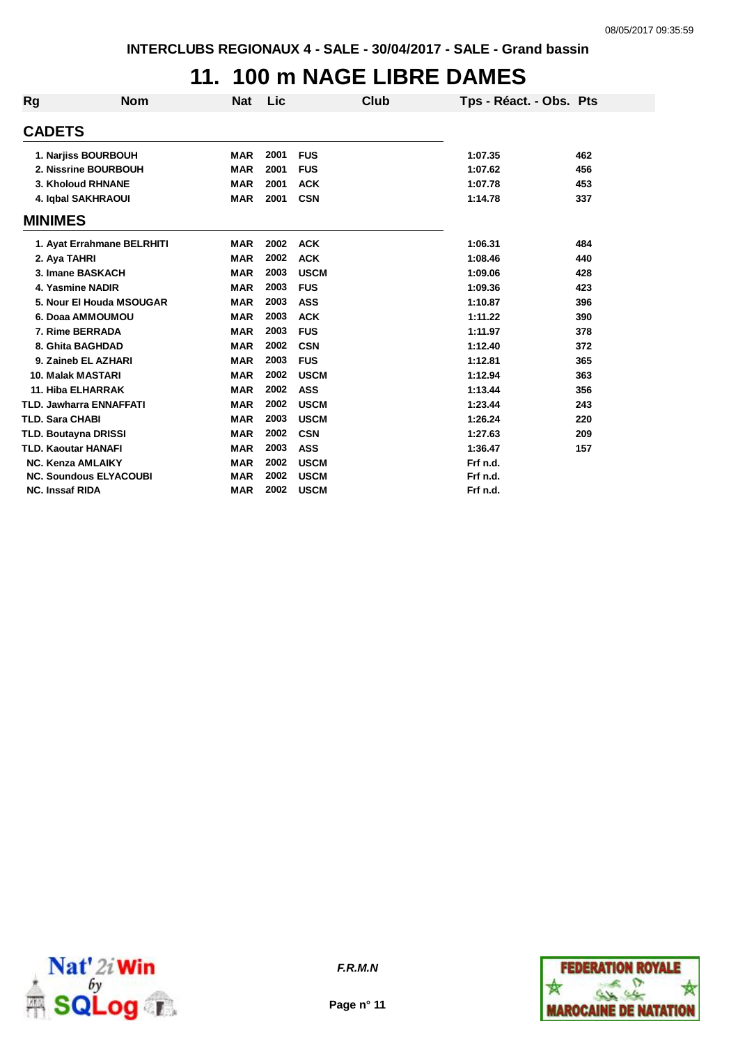## **11. 100 m NAGE LIBRE DAMES**

| <b>Rg</b>      | <b>Nom</b>                     | <b>Nat</b> | Lic  |             | Club | Tps - Réact. - Obs. Pts |     |
|----------------|--------------------------------|------------|------|-------------|------|-------------------------|-----|
| <b>CADETS</b>  |                                |            |      |             |      |                         |     |
|                | 1. Narjiss BOURBOUH            | <b>MAR</b> | 2001 | <b>FUS</b>  |      | 1:07.35                 | 462 |
|                | 2. Nissrine BOURBOUH           | <b>MAR</b> | 2001 | <b>FUS</b>  |      | 1:07.62                 | 456 |
|                | <b>3. Kholoud RHNANE</b>       | <b>MAR</b> | 2001 | <b>ACK</b>  |      | 1:07.78                 | 453 |
|                | 4. Iqbal SAKHRAOUI             | <b>MAR</b> | 2001 | <b>CSN</b>  |      | 1:14.78                 | 337 |
| <b>MINIMES</b> |                                |            |      |             |      |                         |     |
|                | 1. Ayat Errahmane BELRHITI     | <b>MAR</b> | 2002 | <b>ACK</b>  |      | 1:06.31                 | 484 |
|                | 2. Aya TAHRI                   | <b>MAR</b> | 2002 | <b>ACK</b>  |      | 1:08.46                 | 440 |
|                | 3. Imane BASKACH               | <b>MAR</b> | 2003 | <b>USCM</b> |      | 1:09.06                 | 428 |
|                | 4. Yasmine NADIR               | <b>MAR</b> | 2003 | <b>FUS</b>  |      | 1:09.36                 | 423 |
|                | 5. Nour El Houda MSOUGAR       | <b>MAR</b> | 2003 | ASS         |      | 1:10.87                 | 396 |
|                | 6. Doaa AMMOUMOU               | <b>MAR</b> | 2003 | <b>ACK</b>  |      | 1:11.22                 | 390 |
|                | 7. Rime BERRADA                | <b>MAR</b> | 2003 | <b>FUS</b>  |      | 1:11.97                 | 378 |
|                | 8. Ghita BAGHDAD               | <b>MAR</b> | 2002 | <b>CSN</b>  |      | 1:12.40                 | 372 |
|                | 9. Zaineb EL AZHARI            | <b>MAR</b> | 2003 | <b>FUS</b>  |      | 1:12.81                 | 365 |
|                | <b>10. Malak MASTARI</b>       | <b>MAR</b> | 2002 | <b>USCM</b> |      | 1:12.94                 | 363 |
|                | 11. Hiba ELHARRAK              | <b>MAR</b> | 2002 | <b>ASS</b>  |      | 1:13.44                 | 356 |
|                | <b>TLD. Jawharra ENNAFFATI</b> | <b>MAR</b> | 2002 | <b>USCM</b> |      | 1:23.44                 | 243 |
|                | <b>TLD. Sara CHABI</b>         | <b>MAR</b> | 2003 | <b>USCM</b> |      | 1:26.24                 | 220 |
|                | TLD. Boutayna DRISSI           | <b>MAR</b> | 2002 | <b>CSN</b>  |      | 1:27.63                 | 209 |
|                | <b>TLD. Kaoutar HANAFI</b>     | <b>MAR</b> | 2003 | <b>ASS</b>  |      | 1:36.47                 | 157 |
|                | <b>NC. Kenza AMLAIKY</b>       | <b>MAR</b> | 2002 | <b>USCM</b> |      | Frf n.d.                |     |
|                | <b>NC. Soundous ELYACOUBI</b>  | <b>MAR</b> | 2002 | <b>USCM</b> |      | Frf n.d.                |     |
|                | <b>NC. Inssaf RIDA</b>         | <b>MAR</b> | 2002 | <b>USCM</b> |      | Frf n.d.                |     |





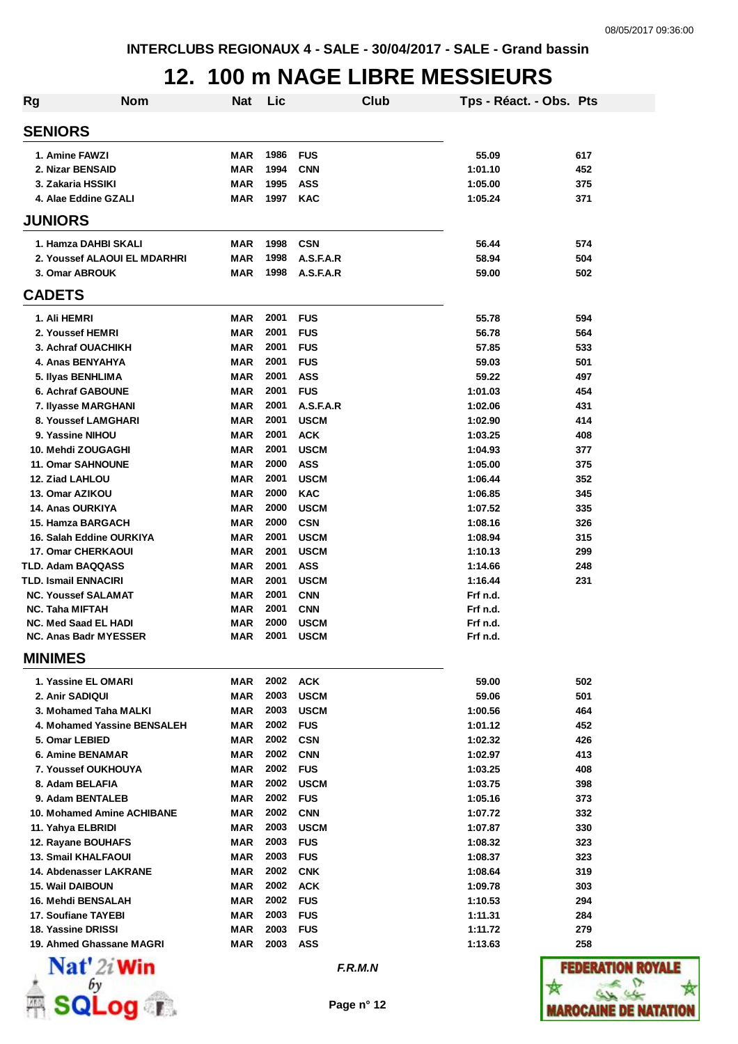### **12. 100 m NAGE LIBRE MESSIEURS**

| <b>Rg</b><br><b>Nom</b>                   | Nat               | Lic          | Club                     | Tps - Réact. - Obs. Pts |               |
|-------------------------------------------|-------------------|--------------|--------------------------|-------------------------|---------------|
| <b>SENIORS</b>                            |                   |              |                          |                         |               |
| 1. Amine FAWZI                            | MAR               | 1986         | <b>FUS</b>               | 55.09                   | 617           |
| 2. Nizar BENSAID                          | MAR               | 1994         | <b>CNN</b>               | 1:01.10                 | 452           |
| 3. Zakaria HSSIKI                         | <b>MAR</b>        | 1995         | <b>ASS</b>               | 1:05.00                 | 375           |
| 4. Alae Eddine GZALI                      | <b>MAR</b>        | 1997         | <b>KAC</b>               | 1:05.24                 | 371           |
| <b>JUNIORS</b>                            |                   |              |                          |                         |               |
| 1. Hamza DAHBI SKALI                      | MAR               | 1998         | <b>CSN</b>               | 56.44                   | 574           |
| 2. Youssef ALAOUI EL MDARHRI              | <b>MAR</b>        | 1998         | A.S.F.A.R                | 58.94                   | 504           |
| 3. Omar ABROUK                            | <b>MAR</b>        | 1998         | A.S.F.A.R                | 59.00                   | 502           |
| <b>CADETS</b>                             |                   |              |                          |                         |               |
| 1. Ali HEMRI                              | MAR               | 2001         | <b>FUS</b>               | 55.78                   | 594           |
| 2. Youssef HEMRI                          | <b>MAR</b>        | 2001         | <b>FUS</b>               | 56.78                   | 564           |
| 3. Achraf OUACHIKH                        | <b>MAR</b>        | 2001         | <b>FUS</b>               | 57.85                   | 533           |
| 4. Anas BENYAHYA                          | <b>MAR</b>        | 2001         | <b>FUS</b>               | 59.03                   | 501           |
| 5. Ilyas BENHLIMA                         | <b>MAR</b>        | 2001         | <b>ASS</b>               | 59.22                   | 497           |
| 6. Achraf GABOUNE                         | <b>MAR</b>        | 2001         | <b>FUS</b>               | 1:01.03                 | 454           |
| 7. Ilyasse MARGHANI                       | <b>MAR</b>        | 2001         | A.S.F.A.R                | 1:02.06                 | 431           |
| 8. Youssef LAMGHARI                       | <b>MAR</b>        | 2001         | <b>USCM</b>              | 1:02.90                 | 414           |
| 9. Yassine NIHOU                          | <b>MAR</b>        | 2001         | <b>ACK</b>               | 1:03.25                 | 408           |
| 10. Mehdi ZOUGAGHI                        | <b>MAR</b>        | 2001         | <b>USCM</b>              | 1:04.93                 | 377           |
| <b>11. Omar SAHNOUNE</b>                  | <b>MAR</b>        | 2000         | <b>ASS</b>               | 1:05.00                 | 375           |
| 12. Ziad LAHLOU                           | <b>MAR</b>        | 2001         | <b>USCM</b>              | 1:06.44                 | 352           |
| 13. Omar AZIKOU                           | MAR               | 2000         | <b>KAC</b>               | 1:06.85                 | 345           |
| <b>14. Anas OURKIYA</b>                   | <b>MAR</b>        | 2000         | <b>USCM</b>              | 1:07.52                 | 335           |
| 15. Hamza BARGACH                         | <b>MAR</b>        | 2000         | <b>CSN</b>               | 1:08.16                 | 326           |
| 16. Salah Eddine OURKIYA                  | <b>MAR</b>        | 2001         | <b>USCM</b>              | 1:08.94                 | 315           |
| <b>17. Omar CHERKAOUI</b>                 | <b>MAR</b>        | 2001         | <b>USCM</b>              | 1:10.13                 | 299           |
| <b>TLD. Adam BAQQASS</b>                  | <b>MAR</b>        | 2001         | <b>ASS</b>               | 1:14.66                 | 248           |
| TLD. Ismail ENNACIRI                      | <b>MAR</b>        | 2001         | <b>USCM</b>              | 1:16.44                 | 231           |
| <b>NC. Youssef SALAMAT</b>                | MAR               | 2001         | <b>CNN</b>               | Frf n.d.                |               |
| <b>NC. Taha MIFTAH</b>                    | <b>MAR</b>        | 2001         | <b>CNN</b>               | Frf n.d.                |               |
| NC. Med Saad EL HADI                      | MAR               | 2000         | <b>USCM</b>              | Frf n.d.                |               |
| <b>NC. Anas Badr MYESSER</b>              | MAR               | 2001         | <b>USCM</b>              | Frf n.d.                |               |
| <b>MINIMES</b>                            |                   |              |                          |                         |               |
| 1. Yassine EL OMARI                       | MAR               | 2002         | <b>ACK</b>               | 59.00                   | 502           |
| 2. Anir SADIQUI                           | MAR               | 2003         | <b>USCM</b>              | 59.06                   | 501           |
| 3. Mohamed Taha MALKI                     | MAR               | 2003         | <b>USCM</b>              | 1:00.56                 | 464           |
| 4. Mohamed Yassine BENSALEH               | MAR               | 2002         | <b>FUS</b>               | 1:01.12                 | 452           |
| 5. Omar LEBIED                            | <b>MAR</b>        | 2002         | <b>CSN</b>               | 1:02.32                 | 426           |
| <b>6. Amine BENAMAR</b>                   | <b>MAR</b>        | 2002         | <b>CNN</b>               | 1:02.97                 | 413           |
| 7. Youssef OUKHOUYA                       | <b>MAR</b>        | 2002         | <b>FUS</b>               | 1:03.25                 | 408           |
| 8. Adam BELAFIA                           | <b>MAR</b>        | 2002         | <b>USCM</b>              | 1:03.75                 | 398           |
| 9. Adam BENTALEB                          | <b>MAR</b>        | 2002         | <b>FUS</b>               | 1:05.16                 | 373           |
| 10. Mohamed Amine ACHIBANE                | MAR               | 2002         | <b>CNN</b>               | 1:07.72                 | 332           |
| 11. Yahya ELBRIDI                         | MAR               | 2003         | <b>USCM</b>              | 1:07.87                 | 330           |
| 12. Rayane BOUHAFS                        | MAR               | 2003         | <b>FUS</b>               | 1:08.32                 | 323           |
| <b>13. Smail KHALFAOUI</b>                | MAR               | 2003         | <b>FUS</b>               | 1:08.37                 | 323           |
| 14. Abdenasser LAKRANE                    | MAR               | 2002         | <b>CNK</b>               | 1:08.64                 | 319           |
| <b>15. Wail DAIBOUN</b>                   | MAR               | 2002         | <b>ACK</b>               | 1:09.78                 | 303           |
| <b>16. Mehdi BENSALAH</b>                 | MAR               | 2002<br>2003 | <b>FUS</b>               | 1:10.53                 | 294           |
| 17. Soufiane TAYEBI<br>18. Yassine DRISSI | MAR<br><b>MAR</b> | 2003         | <b>FUS</b><br><b>FUS</b> | 1:11.31                 | 284<br>279    |
| 19. Ahmed Ghassane MAGRI                  | <b>MAR</b>        | 2003         | <b>ASS</b>               | 1:11.72<br>1:13.63      | 258           |
| $\mathbf{Nat}'$ 2i Win                    |                   |              |                          |                         |               |
|                                           |                   |              | F.R.M.N                  |                         | <b>FEDERA</b> |
|                                           |                   |              |                          |                         |               |
| $\overline{\phantom{a}}$ . Pos            |                   |              | Page n° 12               |                         | <b>TAROCI</b> |

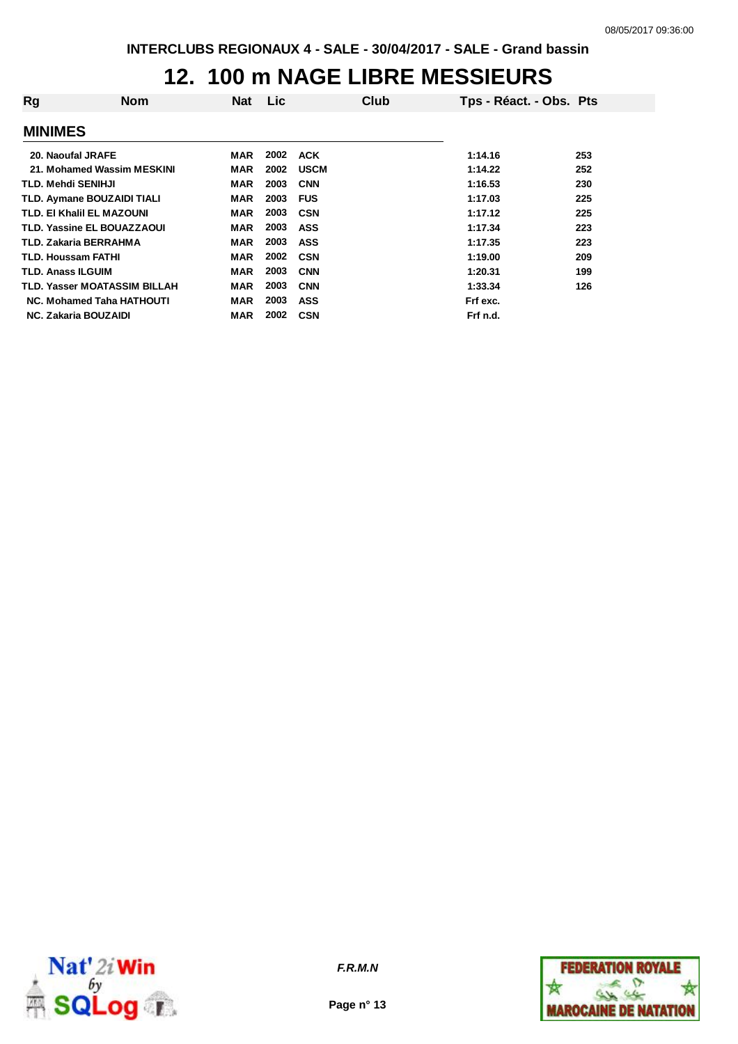### **12. 100 m NAGE LIBRE MESSIEURS**

| Rg | <b>Nom</b>                          | <b>Nat</b> | <b>Lic</b> | Club        | Tps - Réact. - Obs. Pts |     |
|----|-------------------------------------|------------|------------|-------------|-------------------------|-----|
|    | <b>MINIMES</b>                      |            |            |             |                         |     |
|    | 20. Naoufal JRAFE                   | MAR        | 2002       | <b>ACK</b>  | 1:14.16                 | 253 |
|    | 21. Mohamed Wassim MESKINI          | <b>MAR</b> | 2002       | <b>USCM</b> | 1:14.22                 | 252 |
|    | <b>TLD. Mehdi SENIHJI</b>           | <b>MAR</b> | 2003       | <b>CNN</b>  | 1:16.53                 | 230 |
|    | TLD. Aymane BOUZAIDI TIALI          | <b>MAR</b> | 2003       | <b>FUS</b>  | 1:17.03                 | 225 |
|    | TLD. EI Khalil EL MAZOUNI           | <b>MAR</b> | 2003       | <b>CSN</b>  | 1:17.12                 | 225 |
|    | <b>TLD. Yassine EL BOUAZZAOUI</b>   | <b>MAR</b> | 2003       | ASS         | 1:17.34                 | 223 |
|    | <b>TLD. Zakaria BERRAHMA</b>        | <b>MAR</b> | 2003       | ASS         | 1:17.35                 | 223 |
|    | <b>TLD. Houssam FATHI</b>           | <b>MAR</b> | 2002       | <b>CSN</b>  | 1:19.00                 | 209 |
|    | <b>TLD. Anass ILGUIM</b>            | <b>MAR</b> | 2003       | <b>CNN</b>  | 1:20.31                 | 199 |
|    | <b>TLD. Yasser MOATASSIM BILLAH</b> | <b>MAR</b> | 2003       | <b>CNN</b>  | 1:33.34                 | 126 |
|    | <b>NC. Mohamed Taha HATHOUTI</b>    | <b>MAR</b> | 2003       | ASS         | Frf exc.                |     |
|    | <b>NC. Zakaria BOUZAIDI</b>         | <b>MAR</b> | 2002       | <b>CSN</b>  | Frf n.d.                |     |



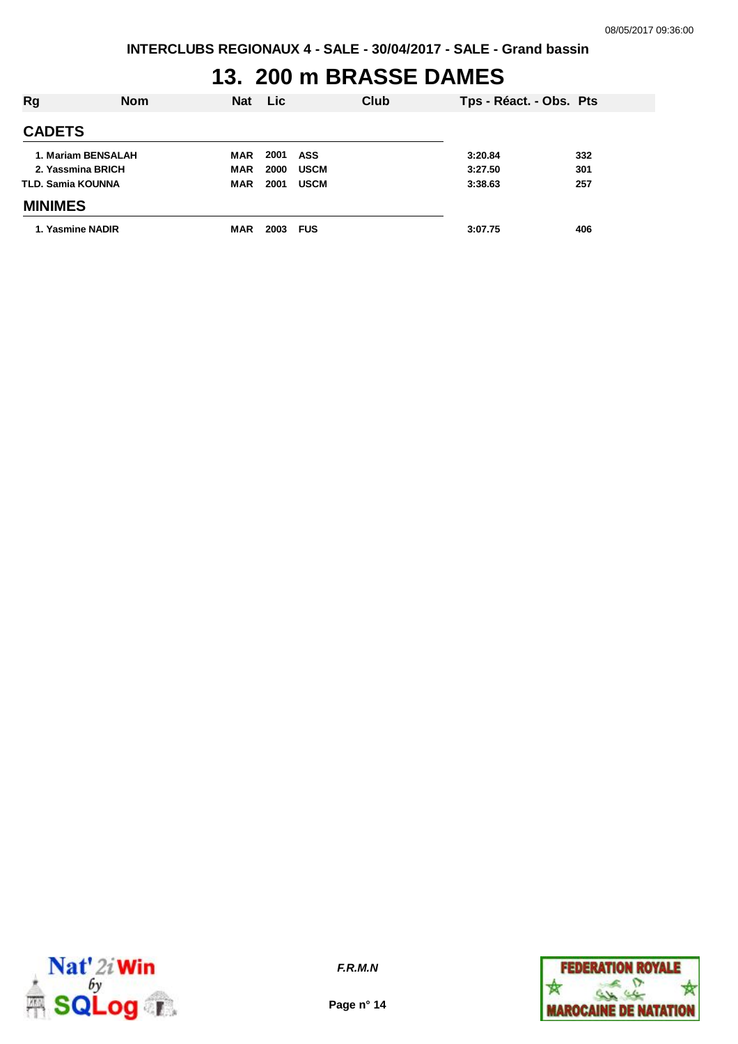## **13. 200 m BRASSE DAMES**

| <b>Rg</b>         | <b>Nom</b>         | <b>Nat</b> | Lic. |             | Club | Tps - Réact. - Obs. Pts |     |
|-------------------|--------------------|------------|------|-------------|------|-------------------------|-----|
| <b>CADETS</b>     |                    |            |      |             |      |                         |     |
|                   | 1. Mariam BENSALAH | MAR        | 2001 | ASS         |      | 3:20.84                 | 332 |
|                   | 2. Yassmina BRICH  | <b>MAR</b> | 2000 | <b>USCM</b> |      | 3:27.50                 | 301 |
| TLD. Samia KOUNNA |                    | <b>MAR</b> | 2001 | <b>USCM</b> |      | 3:38.63                 | 257 |
| <b>MINIMES</b>    |                    |            |      |             |      |                         |     |
| 1. Yasmine NADIR  |                    | <b>MAR</b> | 2003 | <b>FUS</b>  |      | 3:07.75                 | 406 |



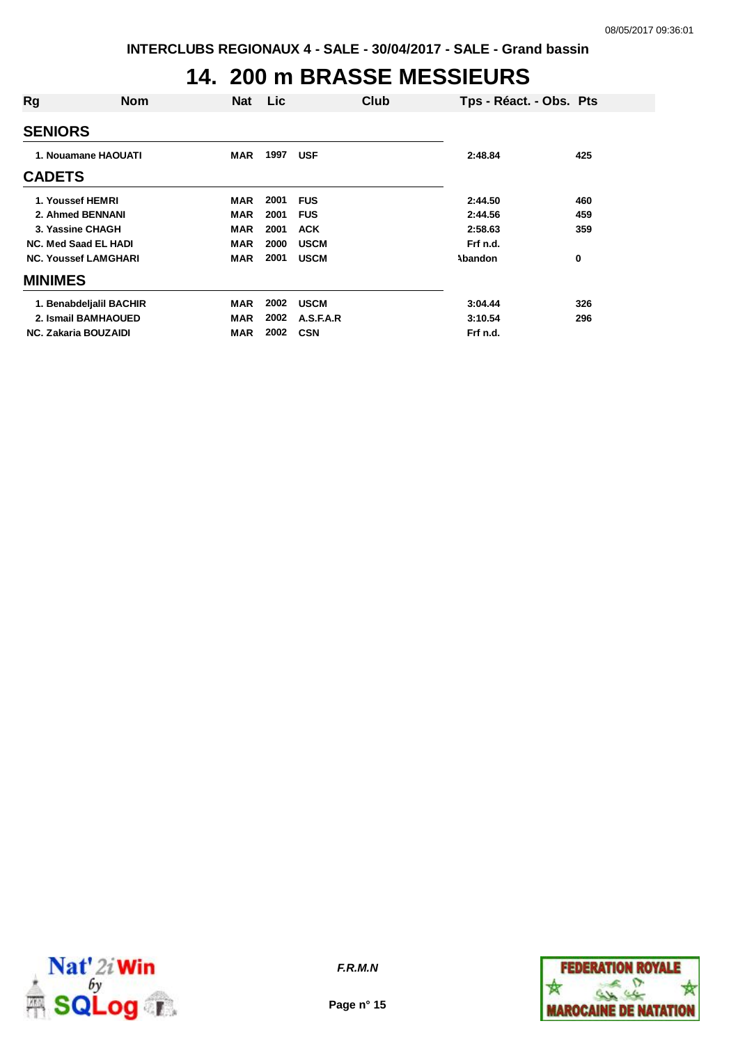## **14. 200 m BRASSE MESSIEURS**

| Rg                          | <b>Nom</b>                  | Nat        | Lic. | Club        | Tps - Réact. - Obs. Pts |     |
|-----------------------------|-----------------------------|------------|------|-------------|-------------------------|-----|
| <b>SENIORS</b>              |                             |            |      |             |                         |     |
| 1. Nouamane HAOUATI         |                             | <b>MAR</b> | 1997 | <b>USF</b>  | 2:48.84                 | 425 |
| <b>CADETS</b>               |                             |            |      |             |                         |     |
| 1. Youssef HEMRI            |                             | <b>MAR</b> | 2001 | <b>FUS</b>  | 2:44.50                 | 460 |
|                             | 2. Ahmed BENNANI            | <b>MAR</b> | 2001 | <b>FUS</b>  | 2:44.56                 | 459 |
| 3. Yassine CHAGH            |                             | <b>MAR</b> | 2001 | <b>ACK</b>  | 2:58.63                 | 359 |
| <b>NC. Med Saad EL HADI</b> |                             | <b>MAR</b> | 2000 | <b>USCM</b> | Frf n.d.                |     |
|                             | <b>NC. Youssef LAMGHARI</b> | <b>MAR</b> | 2001 | <b>USCM</b> | Abandon                 | 0   |
| <b>MINIMES</b>              |                             |            |      |             |                         |     |
|                             | 1. Benabdeljalil BACHIR     | <b>MAR</b> | 2002 | <b>USCM</b> | 3:04.44                 | 326 |
|                             | 2. Ismail BAMHAOUED         | <b>MAR</b> | 2002 | A.S.F.A.R   | 3:10.54                 | 296 |
| <b>NC. Zakaria BOUZAIDI</b> |                             | <b>MAR</b> | 2002 | <b>CSN</b>  | Frf n.d.                |     |
|                             |                             |            |      |             |                         |     |



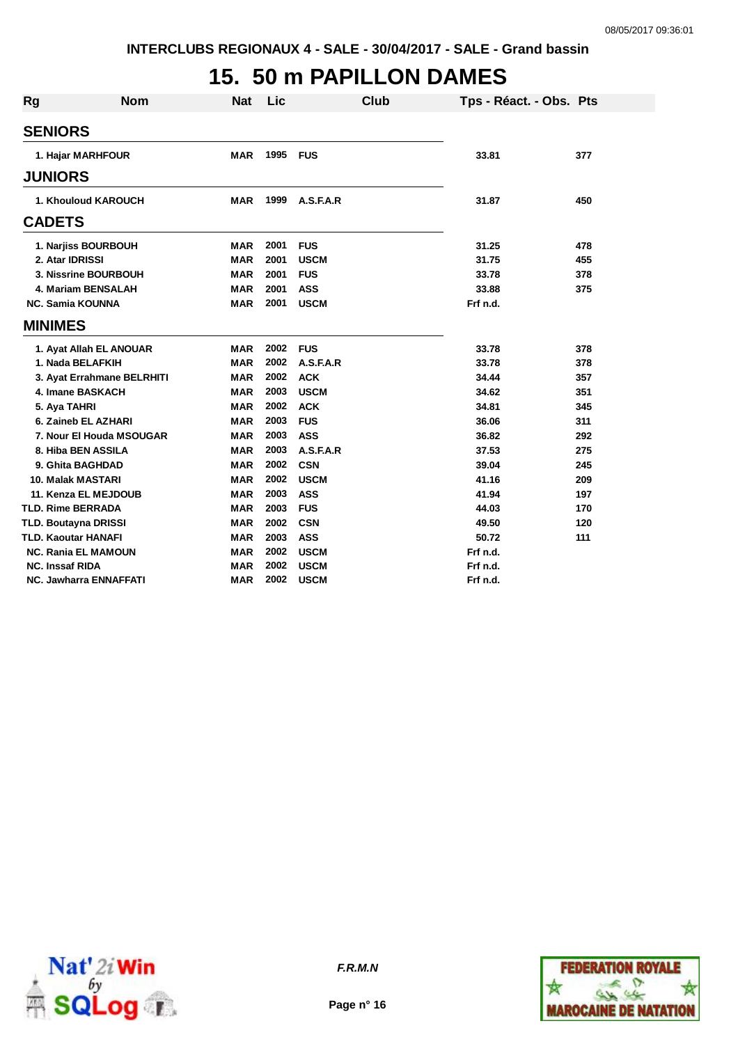# **15. 50 m PAPILLON DAMES**

| Rg | <b>Nom</b>                    | <b>Nat</b> | <b>Lic</b> |             | Club | Tps - Réact. - Obs. Pts |     |
|----|-------------------------------|------------|------------|-------------|------|-------------------------|-----|
|    | <b>SENIORS</b>                |            |            |             |      |                         |     |
|    | 1. Hajar MARHFOUR             | <b>MAR</b> | 1995       | <b>FUS</b>  |      | 33.81                   | 377 |
|    |                               |            |            |             |      |                         |     |
|    | <b>JUNIORS</b>                |            |            |             |      |                         |     |
|    | 1. Khouloud KAROUCH           | <b>MAR</b> | 1999       | A.S.F.A.R   |      | 31.87                   | 450 |
|    | <b>CADETS</b>                 |            |            |             |      |                         |     |
|    | 1. Narjiss BOURBOUH           | <b>MAR</b> | 2001       | <b>FUS</b>  |      | 31.25                   | 478 |
|    | 2. Atar IDRISSI               | <b>MAR</b> | 2001       | <b>USCM</b> |      | 31.75                   | 455 |
|    | 3. Nissrine BOURBOUH          | <b>MAR</b> | 2001       | <b>FUS</b>  |      | 33.78                   | 378 |
|    | 4. Mariam BENSALAH            | <b>MAR</b> | 2001       | <b>ASS</b>  |      | 33.88                   | 375 |
|    | <b>NC. Samia KOUNNA</b>       | <b>MAR</b> | 2001       | <b>USCM</b> |      | Frf n.d.                |     |
|    | <b>MINIMES</b>                |            |            |             |      |                         |     |
|    | 1. Ayat Allah EL ANOUAR       | <b>MAR</b> | 2002       | <b>FUS</b>  |      | 33.78                   | 378 |
|    | 1. Nada BELAFKIH              | <b>MAR</b> | 2002       | A.S.F.A.R   |      | 33.78                   | 378 |
|    | 3. Ayat Errahmane BELRHITI    | <b>MAR</b> | 2002       | <b>ACK</b>  |      | 34.44                   | 357 |
|    | 4. Imane BASKACH              | <b>MAR</b> | 2003       | <b>USCM</b> |      | 34.62                   | 351 |
|    | 5. Aya TAHRI                  | MAR        | 2002       | <b>ACK</b>  |      | 34.81                   | 345 |
|    | 6. Zaineb EL AZHARI           | <b>MAR</b> | 2003       | <b>FUS</b>  |      | 36.06                   | 311 |
|    | 7. Nour El Houda MSOUGAR      | <b>MAR</b> | 2003       | <b>ASS</b>  |      | 36.82                   | 292 |
|    | 8. Hiba BEN ASSILA            | <b>MAR</b> | 2003       | A.S.F.A.R   |      | 37.53                   | 275 |
|    | 9. Ghita BAGHDAD              | <b>MAR</b> | 2002       | <b>CSN</b>  |      | 39.04                   | 245 |
|    | <b>10. Malak MASTARI</b>      | <b>MAR</b> | 2002       | <b>USCM</b> |      | 41.16                   | 209 |
|    | 11. Kenza EL MEJDOUB          | <b>MAR</b> | 2003       | <b>ASS</b>  |      | 41.94                   | 197 |
|    | <b>TLD. Rime BERRADA</b>      | <b>MAR</b> | 2003       | <b>FUS</b>  |      | 44.03                   | 170 |
|    | <b>TLD. Boutayna DRISSI</b>   | <b>MAR</b> | 2002       | <b>CSN</b>  |      | 49.50                   | 120 |
|    | <b>TLD. Kaoutar HANAFI</b>    | <b>MAR</b> | 2003       | <b>ASS</b>  |      | 50.72                   | 111 |
|    | <b>NC. Rania EL MAMOUN</b>    | <b>MAR</b> | 2002       | <b>USCM</b> |      | Frf n.d.                |     |
|    | <b>NC. Inssaf RIDA</b>        | <b>MAR</b> | 2002       | <b>USCM</b> |      | Frf n.d.                |     |
|    | <b>NC. Jawharra ENNAFFATI</b> | <b>MAR</b> | 2002       | <b>USCM</b> |      | Frf n.d.                |     |



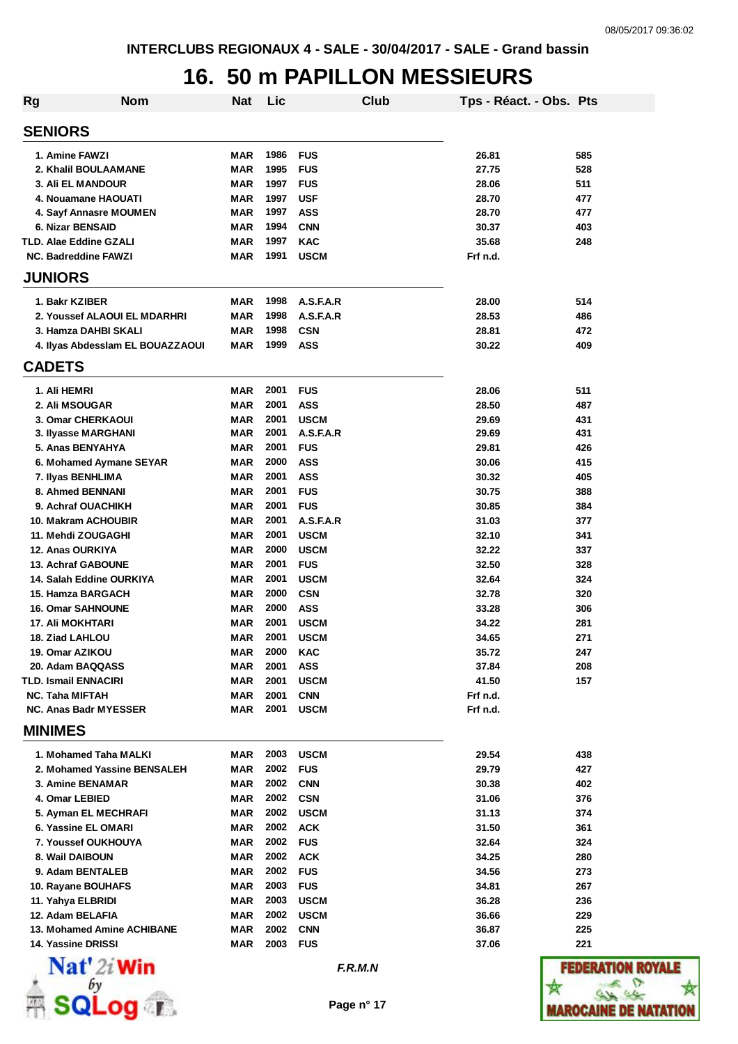### **16. 50 m PAPILLON MESSIEURS**

| <b>Rg</b>                                             | <b>Nom</b>                       | <b>Nat</b>               | Lic          |                           | Club | Tps - Réact. - Obs. Pts |            |
|-------------------------------------------------------|----------------------------------|--------------------------|--------------|---------------------------|------|-------------------------|------------|
| <b>SENIORS</b>                                        |                                  |                          |              |                           |      |                         |            |
| 1. Amine FAWZI                                        |                                  | MAR                      | 1986         | <b>FUS</b>                |      | 26.81                   | 585        |
| 2. Khalil BOULAAMANE                                  |                                  | <b>MAR</b>               | 1995         | <b>FUS</b>                |      | 27.75                   | 528        |
| <b>3. Ali EL MANDOUR</b>                              |                                  | <b>MAR</b>               | 1997         | <b>FUS</b>                |      | 28.06                   | 511        |
| 4. Nouamane HAOUATI                                   |                                  | <b>MAR</b>               | 1997         | <b>USF</b>                |      | 28.70                   | 477        |
| 4. Sayf Annasre MOUMEN                                |                                  | MAR                      | 1997         | <b>ASS</b>                |      | 28.70                   | 477        |
| 6. Nizar BENSAID                                      |                                  | <b>MAR</b>               | 1994         | <b>CNN</b>                |      | 30.37                   | 403        |
| <b>TLD. Alae Eddine GZALI</b>                         |                                  | <b>MAR</b>               | 1997         | <b>KAC</b>                |      | 35.68                   | 248        |
| NC. Badreddine FAWZI                                  |                                  | <b>MAR</b>               | 1991         | <b>USCM</b>               |      | Frf n.d.                |            |
| <b>JUNIORS</b>                                        |                                  |                          |              |                           |      |                         |            |
| 1. Bakr KZIBER                                        |                                  | MAR                      | 1998         | A.S.F.A.R                 |      | 28.00                   | 514        |
| 2. Youssef ALAOUI EL MDARHRI                          |                                  | <b>MAR</b>               | 1998         | A.S.F.A.R                 |      | 28.53                   | 486        |
| 3. Hamza DAHBI SKALI                                  |                                  | <b>MAR</b>               | 1998         | <b>CSN</b>                |      | 28.81                   | 472        |
|                                                       | 4. Ilyas Abdesslam EL BOUAZZAOUI | <b>MAR</b>               | 1999         | <b>ASS</b>                |      | 30.22                   | 409        |
| <b>CADETS</b>                                         |                                  |                          |              |                           |      |                         |            |
| 1. Ali HEMRI                                          |                                  | <b>MAR</b>               | 2001         | <b>FUS</b>                |      | 28.06                   | 511        |
| 2. Ali MSOUGAR                                        |                                  | <b>MAR</b>               | 2001         | <b>ASS</b>                |      | 28.50                   | 487        |
| 3. Omar CHERKAOUI                                     |                                  | <b>MAR</b>               | 2001         | <b>USCM</b>               |      | 29.69                   | 431        |
| 3. Ilyasse MARGHANI                                   |                                  | MAR                      | 2001         | A.S.F.A.R                 |      | 29.69                   | 431        |
| 5. Anas BENYAHYA                                      |                                  | MAR                      | 2001         | <b>FUS</b>                |      | 29.81                   | 426        |
| 6. Mohamed Aymane SEYAR                               |                                  | <b>MAR</b>               | 2000         | <b>ASS</b>                |      | 30.06                   | 415        |
| 7. Ilyas BENHLIMA                                     |                                  | MAR                      | 2001         | <b>ASS</b>                |      | 30.32                   | 405        |
| 8. Ahmed BENNANI                                      |                                  | MAR                      | 2001         | <b>FUS</b>                |      | 30.75                   | 388        |
| 9. Achraf OUACHIKH                                    |                                  | <b>MAR</b>               | 2001         | <b>FUS</b>                |      | 30.85                   | 384        |
| 10. Makram ACHOUBIR                                   |                                  | <b>MAR</b>               | 2001         | A.S.F.A.R                 |      | 31.03                   | 377        |
| 11. Mehdi ZOUGAGHI                                    |                                  | <b>MAR</b>               | 2001         | <b>USCM</b>               |      | 32.10                   | 341        |
| 12. Anas OURKIYA                                      |                                  | <b>MAR</b><br><b>MAR</b> | 2000<br>2001 | <b>USCM</b>               |      | 32.22<br>32.50          | 337        |
| <b>13. Achraf GABOUNE</b><br>14. Salah Eddine OURKIYA |                                  |                          | 2001         | <b>FUS</b>                |      |                         | 328        |
| <b>15. Hamza BARGACH</b>                              |                                  | <b>MAR</b><br>MAR        | 2000         | <b>USCM</b><br><b>CSN</b> |      | 32.64<br>32.78          | 324<br>320 |
| <b>16. Omar SAHNOUNE</b>                              |                                  | <b>MAR</b>               | 2000         | <b>ASS</b>                |      | 33.28                   | 306        |
| <b>17. Ali MOKHTARI</b>                               |                                  | MAR                      | 2001         | <b>USCM</b>               |      | 34.22                   | 281        |
| 18. Ziad LAHLOU                                       |                                  | <b>MAR</b>               | 2001         | <b>USCM</b>               |      | 34.65                   | 271        |
| 19. Omar AZIKOU                                       |                                  | <b>MAR</b>               | 2000         | <b>KAC</b>                |      | 35.72                   | 247        |
| 20. Adam BAQQASS                                      |                                  | MAR                      | 2001         | <b>ASS</b>                |      | 37.84                   | 208        |
| <b>TLD. Ismail ENNACIRI</b>                           |                                  | MAR                      | 2001         | <b>USCM</b>               |      | 41.50                   | 157        |
| NC. Taha MIFTAH                                       |                                  | <b>MAR</b>               | 2001         | <b>CNN</b>                |      | Frf n.d.                |            |
| <b>NC. Anas Badr MYESSER</b>                          |                                  | MAR                      | 2001         | <b>USCM</b>               |      | Frf n.d.                |            |
| <b>MINIMES</b>                                        |                                  |                          |              |                           |      |                         |            |
| 1. Mohamed Taha MALKI                                 |                                  | MAR                      | 2003         | <b>USCM</b>               |      | 29.54                   | 438        |
| 2. Mohamed Yassine BENSALEH                           |                                  | MAR                      | 2002         | <b>FUS</b>                |      | 29.79                   | 427        |
| <b>3. Amine BENAMAR</b>                               |                                  | MAR                      | 2002         | <b>CNN</b>                |      | 30.38                   | 402        |
| 4. Omar LEBIED                                        |                                  | MAR                      | 2002         | <b>CSN</b>                |      | 31.06                   | 376        |
| 5. Ayman EL MECHRAFI                                  |                                  | MAR                      | 2002         | <b>USCM</b>               |      | 31.13                   | 374        |
| 6. Yassine EL OMARI                                   |                                  | MAR                      | 2002         | <b>ACK</b>                |      | 31.50                   | 361        |
| 7. Youssef OUKHOUYA                                   |                                  | MAR                      | 2002         | <b>FUS</b>                |      | 32.64                   | 324        |
| 8. Wail DAIBOUN                                       |                                  | MAR                      | 2002         | <b>ACK</b>                |      | 34.25                   | 280        |
| 9. Adam BENTALEB                                      |                                  | MAR                      | 2002         | <b>FUS</b>                |      | 34.56                   | 273        |
| 10. Rayane BOUHAFS                                    |                                  | MAR                      | 2003         | <b>FUS</b>                |      | 34.81                   | 267        |
| 11. Yahya ELBRIDI                                     |                                  | MAR                      | 2003         | <b>USCM</b>               |      | 36.28                   | 236        |
| 12. Adam BELAFIA                                      |                                  | <b>MAR</b>               | 2002         | <b>USCM</b>               |      | 36.66                   | 229        |
| 13. Mohamed Amine ACHIBANE                            |                                  | <b>MAR</b>               | 2002         | <b>CNN</b>                |      | 36.87                   | 225        |
| 14. Yassine DRISSI                                    |                                  | <b>MAR</b>               | 2003         | <b>FUS</b>                |      | 37.06                   | 221        |
| $\mathbf{Nat}'$ 2i Win                                |                                  |                          |              | F.R.M.N                   |      |                         | FEDE.      |
|                                                       |                                  |                          |              |                           |      |                         |            |
|                                                       | Log 1.                           |                          |              | Page n° 17                |      |                         | WAROCA     |

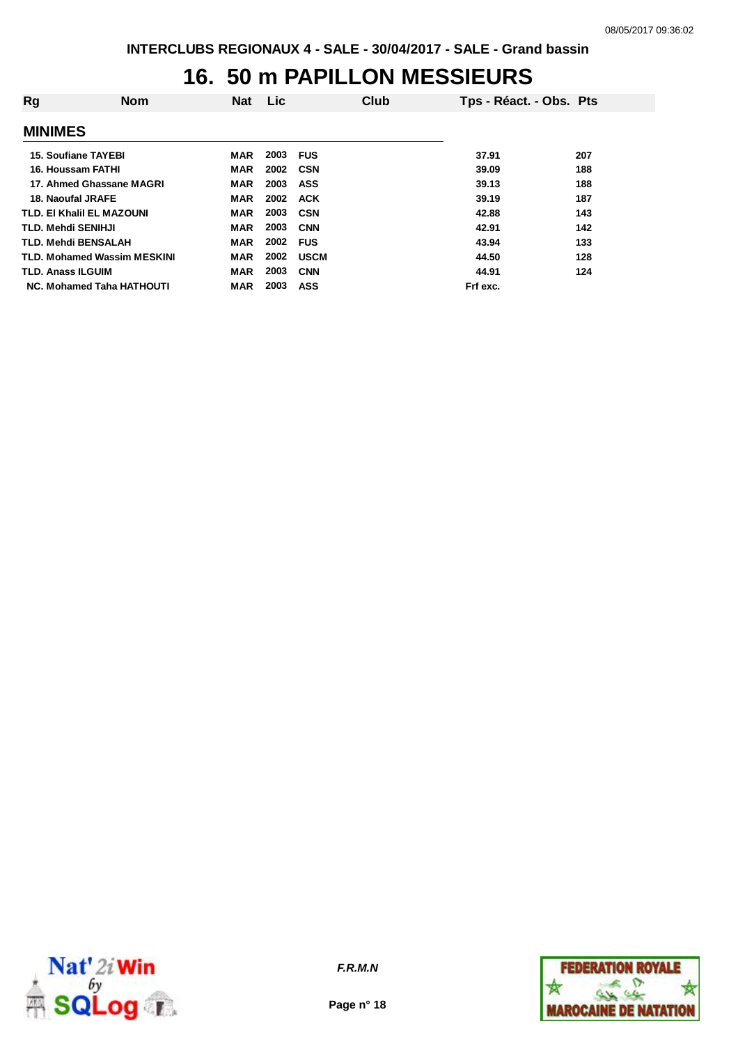## **16. 50 m PAPILLON MESSIEURS**

| Rg | <b>Nom</b>                         | <b>Nat</b> | Lic. | Club        | Tps - Réact. - Obs. Pts |     |
|----|------------------------------------|------------|------|-------------|-------------------------|-----|
|    | <b>MINIMES</b>                     |            |      |             |                         |     |
|    | <b>15. Soufiane TAYEBI</b>         | MAR        | 2003 | <b>FUS</b>  | 37.91                   | 207 |
|    | 16. Houssam FATHI                  | MAR        | 2002 | <b>CSN</b>  | 39.09                   | 188 |
|    | 17. Ahmed Ghassane MAGRI           | <b>MAR</b> | 2003 | ASS         | 39.13                   | 188 |
|    | 18. Naoufal JRAFE                  | <b>MAR</b> | 2002 | <b>ACK</b>  | 39.19                   | 187 |
|    | <b>TLD. EI Khalil EL MAZOUNI</b>   | <b>MAR</b> | 2003 | <b>CSN</b>  | 42.88                   | 143 |
|    | TLD. Mehdi SENIHJI                 | <b>MAR</b> | 2003 | <b>CNN</b>  | 42.91                   | 142 |
|    | <b>TLD. Mehdi BENSALAH</b>         | <b>MAR</b> | 2002 | <b>FUS</b>  | 43.94                   | 133 |
|    | <b>TLD. Mohamed Wassim MESKINI</b> | <b>MAR</b> | 2002 | <b>USCM</b> | 44.50                   | 128 |
|    | <b>TLD. Anass ILGUIM</b>           | <b>MAR</b> | 2003 | <b>CNN</b>  | 44.91                   | 124 |
|    | NC. Mohamed Taha HATHOUTI          | <b>MAR</b> | 2003 | ASS         | Frf exc.                |     |



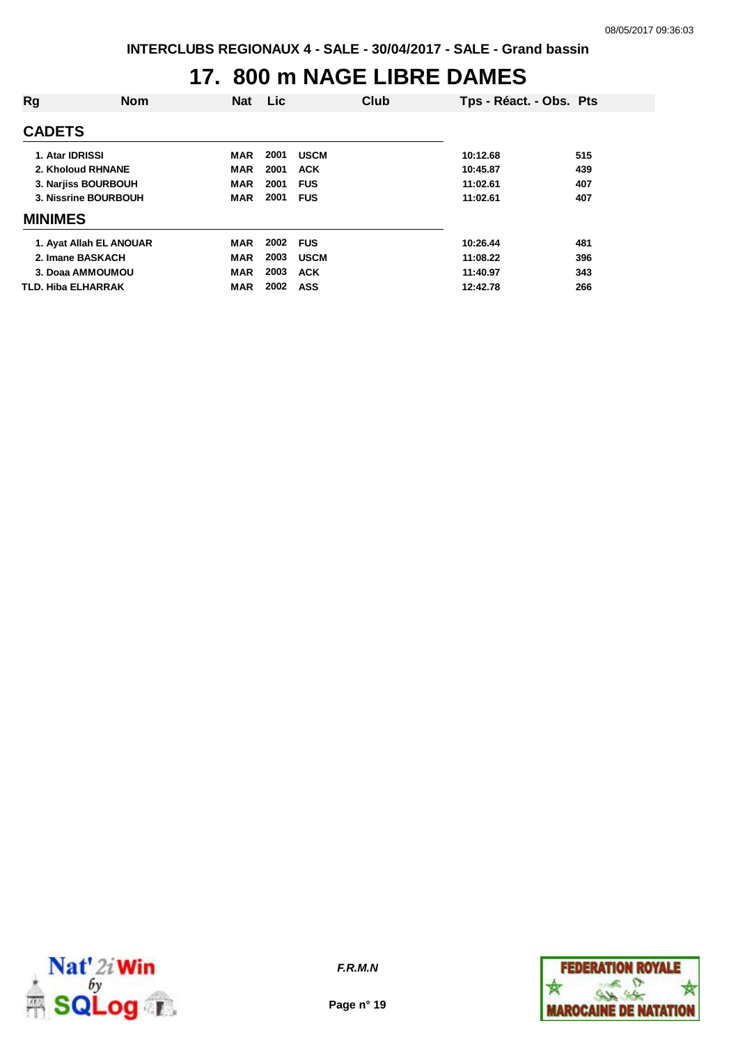## **17. 800 m NAGE LIBRE DAMES**

| Rg                      | <b>Nom</b> | <b>Nat</b> | Lic. |             | Club | Tps - Réact. - Obs. Pts |     |
|-------------------------|------------|------------|------|-------------|------|-------------------------|-----|
| <b>CADETS</b>           |            |            |      |             |      |                         |     |
| 1. Atar IDRISSI         |            | MAR        | 2001 | <b>USCM</b> |      | 10:12.68                | 515 |
| 2. Kholoud RHNANE       |            | <b>MAR</b> | 2001 | <b>ACK</b>  |      | 10:45.87                | 439 |
| 3. Narjiss BOURBOUH     |            | <b>MAR</b> | 2001 | <b>FUS</b>  |      | 11:02.61                | 407 |
| 3. Nissrine BOURBOUH    |            | <b>MAR</b> | 2001 | <b>FUS</b>  |      | 11:02.61                | 407 |
| <b>MINIMES</b>          |            |            |      |             |      |                         |     |
| 1. Ayat Allah EL ANOUAR |            | <b>MAR</b> | 2002 | <b>FUS</b>  |      | 10:26.44                | 481 |
| 2. Imane BASKACH        |            | <b>MAR</b> | 2003 | <b>USCM</b> |      | 11:08.22                | 396 |
| 3. Doaa AMMOUMOU        |            | <b>MAR</b> | 2003 | <b>ACK</b>  |      | 11:40.97                | 343 |
| TLD. Hiba ELHARRAK      |            | <b>MAR</b> | 2002 | <b>ASS</b>  |      | 12:42.78                | 266 |



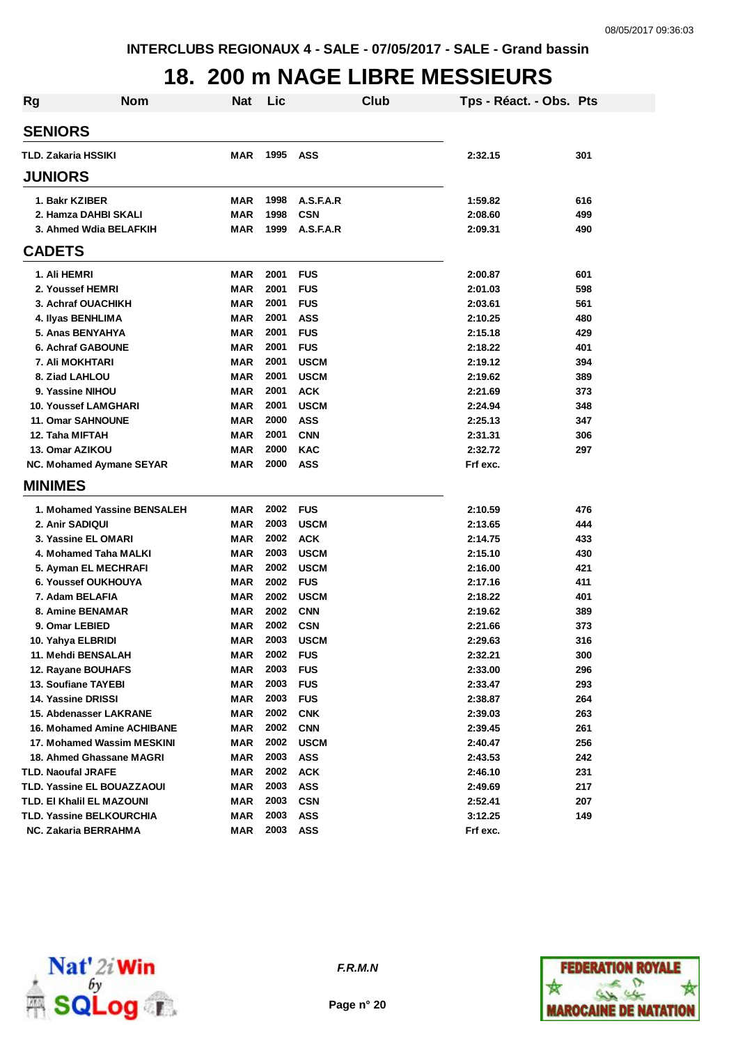#### **18. 200 m NAGE LIBRE MESSIEURS**

| <b>Rg</b> | <b>Nom</b>                        | <b>Nat</b> | Lic  | Club        | Tps - Réact. - Obs. Pts |     |
|-----------|-----------------------------------|------------|------|-------------|-------------------------|-----|
|           | <b>SENIORS</b>                    |            |      |             |                         |     |
|           | TLD. Zakaria HSSIKI               | MAR        | 1995 | <b>ASS</b>  | 2:32.15                 | 301 |
|           |                                   |            |      |             |                         |     |
|           | <b>JUNIORS</b>                    |            |      |             |                         |     |
|           | 1. Bakr KZIBER                    | MAR        | 1998 | A.S.F.A.R   | 1:59.82                 | 616 |
|           | 2. Hamza DAHBI SKALI              | MAR        | 1998 | <b>CSN</b>  | 2:08.60                 | 499 |
|           | 3. Ahmed Wdia BELAFKIH            | <b>MAR</b> | 1999 | A.S.F.A.R   | 2:09.31                 | 490 |
|           | <b>CADETS</b>                     |            |      |             |                         |     |
|           | 1. Ali HEMRI                      | MAR        | 2001 | <b>FUS</b>  | 2:00.87                 | 601 |
|           | 2. Youssef HEMRI                  | MAR        | 2001 | <b>FUS</b>  | 2:01.03                 | 598 |
|           | 3. Achraf OUACHIKH                | MAR        | 2001 | <b>FUS</b>  | 2:03.61                 | 561 |
|           | 4. Ilyas BENHLIMA                 | <b>MAR</b> | 2001 | <b>ASS</b>  | 2:10.25                 | 480 |
|           | 5. Anas BENYAHYA                  | <b>MAR</b> | 2001 | <b>FUS</b>  | 2:15.18                 | 429 |
|           | 6. Achraf GABOUNE                 | <b>MAR</b> | 2001 | <b>FUS</b>  | 2:18.22                 | 401 |
|           | 7. Ali MOKHTARI                   | <b>MAR</b> | 2001 | <b>USCM</b> | 2:19.12                 | 394 |
|           | 8. Ziad LAHLOU                    | <b>MAR</b> | 2001 | <b>USCM</b> | 2:19.62                 | 389 |
|           | 9. Yassine NIHOU                  | <b>MAR</b> | 2001 | <b>ACK</b>  | 2:21.69                 | 373 |
|           | 10. Youssef LAMGHARI              | <b>MAR</b> | 2001 | <b>USCM</b> | 2:24.94                 | 348 |
|           | <b>11. Omar SAHNOUNE</b>          | <b>MAR</b> | 2000 | <b>ASS</b>  | 2:25.13                 | 347 |
|           | 12. Taha MIFTAH                   | <b>MAR</b> | 2001 | <b>CNN</b>  | 2:31.31                 | 306 |
|           | 13. Omar AZIKOU                   | <b>MAR</b> | 2000 | <b>KAC</b>  | 2:32.72                 | 297 |
|           | NC. Mohamed Aymane SEYAR          | MAR        | 2000 | <b>ASS</b>  | Frf exc.                |     |
|           | <b>MINIMES</b>                    |            |      |             |                         |     |
|           | 1. Mohamed Yassine BENSALEH       | <b>MAR</b> | 2002 | <b>FUS</b>  | 2:10.59                 | 476 |
|           | 2. Anir SADIQUI                   | <b>MAR</b> | 2003 | <b>USCM</b> | 2:13.65                 | 444 |
|           | 3. Yassine EL OMARI               | <b>MAR</b> | 2002 | <b>ACK</b>  | 2:14.75                 | 433 |
|           | 4. Mohamed Taha MALKI             | MAR        | 2003 | <b>USCM</b> | 2:15.10                 | 430 |
|           | 5. Ayman EL MECHRAFI              | MAR        | 2002 | <b>USCM</b> | 2:16.00                 | 421 |
|           | 6. Youssef OUKHOUYA               | MAR        | 2002 | <b>FUS</b>  | 2:17.16                 | 411 |
|           | 7. Adam BELAFIA                   | MAR        | 2002 | <b>USCM</b> | 2:18.22                 | 401 |
|           | 8. Amine BENAMAR                  | MAR        | 2002 | <b>CNN</b>  | 2:19.62                 | 389 |
|           | 9. Omar LEBIED                    | MAR        | 2002 | <b>CSN</b>  | 2:21.66                 | 373 |
|           | 10. Yahya ELBRIDI                 | MAR        | 2003 | <b>USCM</b> | 2:29.63                 | 316 |
|           | 11. Mehdi BENSALAH                | MAR        | 2002 | <b>FUS</b>  | 2:32.21                 | 300 |
|           | 12. Rayane BOUHAFS                | MAR        | 2003 | <b>FUS</b>  | 2:33.00                 | 296 |
|           | 13. Soufiane TAYEBI               | <b>MAR</b> | 2003 | <b>FUS</b>  | 2:33.47                 | 293 |
|           | 14. Yassine DRISSI                | <b>MAR</b> | 2003 | <b>FUS</b>  | 2:38.87                 | 264 |
|           | 15. Abdenasser LAKRANE            | MAR        | 2002 | <b>CNK</b>  | 2:39.03                 | 263 |
|           | <b>16. Mohamed Amine ACHIBANE</b> | MAR        | 2002 | <b>CNN</b>  | 2:39.45                 | 261 |
|           | 17. Mohamed Wassim MESKINI        | MAR        | 2002 | <b>USCM</b> | 2:40.47                 | 256 |
|           | 18. Ahmed Ghassane MAGRI          | MAR        | 2003 | ASS         | 2:43.53                 | 242 |
|           | <b>TLD. Naoufal JRAFE</b>         | <b>MAR</b> | 2002 | <b>ACK</b>  | 2:46.10                 | 231 |
|           | TLD. Yassine EL BOUAZZAOUI        | <b>MAR</b> | 2003 | <b>ASS</b>  | 2:49.69                 | 217 |
|           | TLD. EI Khalil EL MAZOUNI         | <b>MAR</b> | 2003 | <b>CSN</b>  | 2:52.41                 | 207 |
|           | TLD. Yassine BELKOURCHIA          | <b>MAR</b> | 2003 | <b>ASS</b>  | 3:12.25                 | 149 |
|           | NC. Zakaria BERRAHMA              | <b>MAR</b> | 2003 | ASS         | Frf exc.                |     |



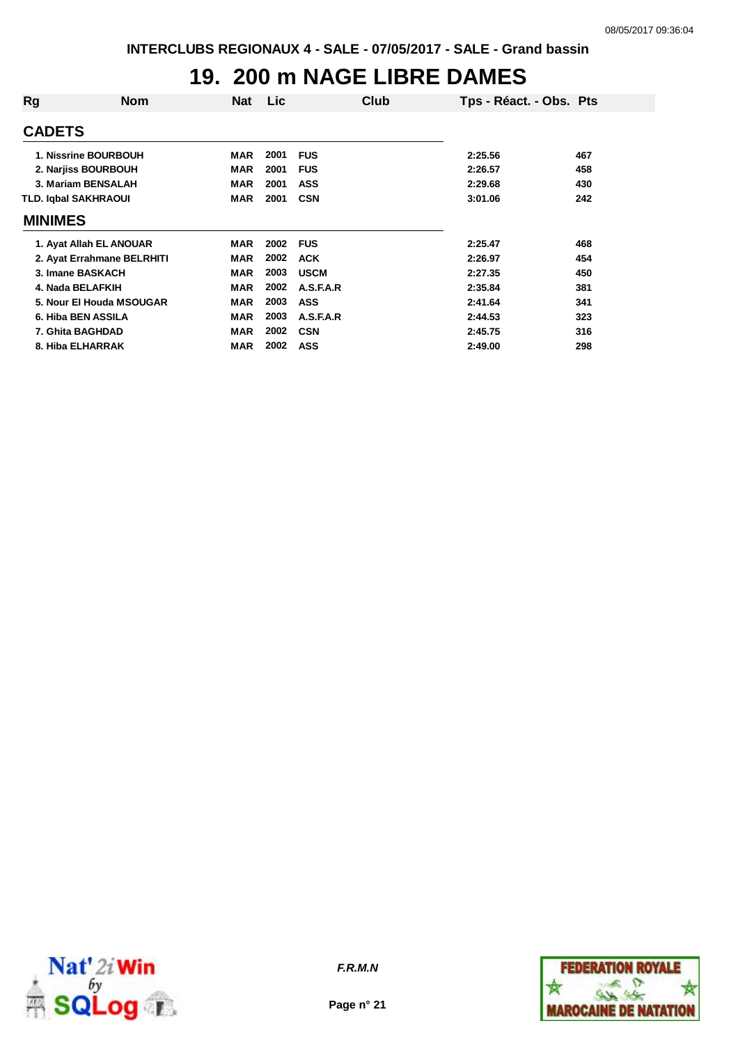## **19. 200 m NAGE LIBRE DAMES**

| Rg                   | <b>Nom</b>                 | <b>Nat</b> | <b>Lic</b> | Club        | Tps - Réact. - Obs. Pts |     |
|----------------------|----------------------------|------------|------------|-------------|-------------------------|-----|
| <b>CADETS</b>        |                            |            |            |             |                         |     |
| 1. Nissrine BOURBOUH |                            | <b>MAR</b> | 2001       | <b>FUS</b>  | 2:25.56                 | 467 |
| 2. Narjiss BOURBOUH  |                            | <b>MAR</b> | 2001       | <b>FUS</b>  | 2:26.57                 | 458 |
| 3. Mariam BENSALAH   |                            | <b>MAR</b> | 2001       | <b>ASS</b>  | 2:29.68                 | 430 |
| TLD. Iqbal SAKHRAOUI |                            | <b>MAR</b> | 2001       | <b>CSN</b>  | 3:01.06                 | 242 |
| <b>MINIMES</b>       |                            |            |            |             |                         |     |
|                      | 1. Ayat Allah EL ANOUAR    | <b>MAR</b> | 2002       | <b>FUS</b>  | 2:25.47                 | 468 |
|                      | 2. Ayat Errahmane BELRHITI | <b>MAR</b> | 2002       | <b>ACK</b>  | 2:26.97                 | 454 |
|                      | 3. Imane BASKACH           | <b>MAR</b> | 2003       | <b>USCM</b> | 2:27.35                 | 450 |
|                      | 4. Nada BELAFKIH           | <b>MAR</b> | 2002       | A.S.F.A.R   | 2:35.84                 | 381 |
|                      | 5. Nour El Houda MSOUGAR   | <b>MAR</b> | 2003       | <b>ASS</b>  | 2:41.64                 | 341 |
|                      | 6. Hiba BEN ASSILA         | <b>MAR</b> | 2003       | A.S.F.A.R   | 2:44.53                 | 323 |
|                      | 7. Ghita BAGHDAD           | <b>MAR</b> | 2002       | <b>CSN</b>  | 2:45.75                 | 316 |
|                      | 8. Hiba ELHARRAK           | <b>MAR</b> | 2002       | <b>ASS</b>  | 2:49.00                 | 298 |
|                      |                            |            |            |             |                         |     |



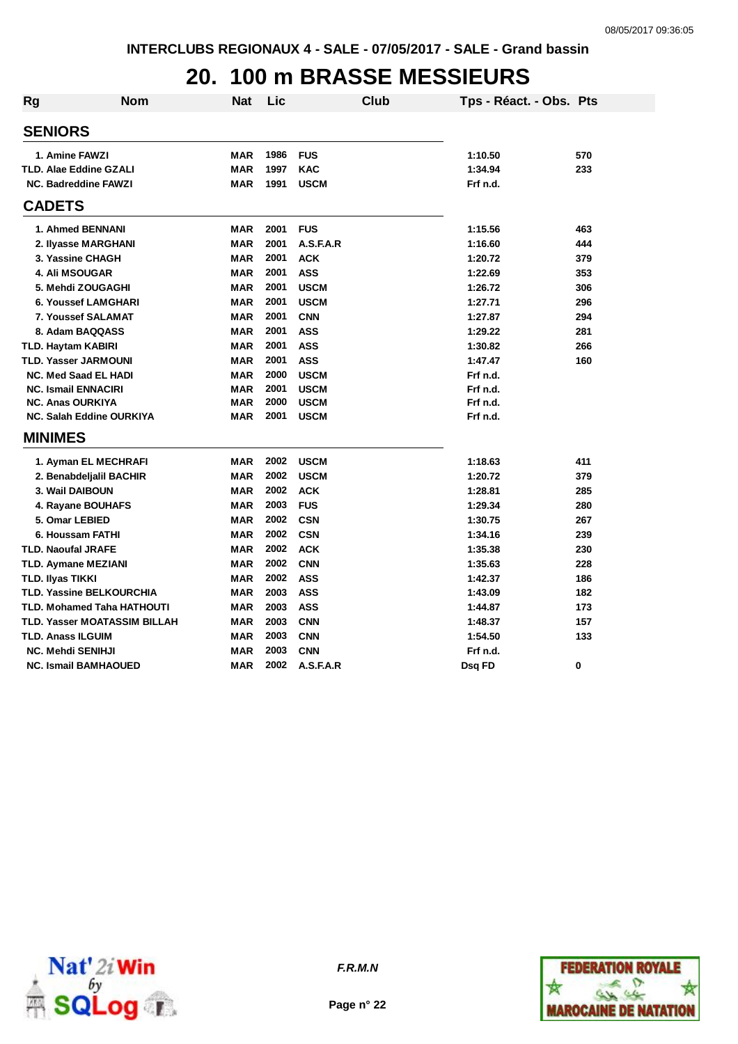## **20. 100 m BRASSE MESSIEURS**

| <b>Rg</b> | <b>Nom</b>                      | Nat        | Lic  |             | <b>Club</b> | Tps - Réact. - Obs. Pts |     |
|-----------|---------------------------------|------------|------|-------------|-------------|-------------------------|-----|
|           | <b>SENIORS</b>                  |            |      |             |             |                         |     |
|           | <b>1. Amine FAWZI</b>           | MAR        | 1986 | <b>FUS</b>  |             | 1:10.50                 | 570 |
|           | TLD. Alae Eddine GZALI          | <b>MAR</b> | 1997 | <b>KAC</b>  |             | 1:34.94                 | 233 |
|           | <b>NC. Badreddine FAWZI</b>     | <b>MAR</b> | 1991 | <b>USCM</b> |             | Frf n.d.                |     |
|           | <b>CADETS</b>                   |            |      |             |             |                         |     |
|           | 1. Ahmed BENNANI                | <b>MAR</b> | 2001 | <b>FUS</b>  |             | 1:15.56                 | 463 |
|           | 2. Ilyasse MARGHANI             | <b>MAR</b> | 2001 | A.S.F.A.R   |             | 1:16.60                 | 444 |
|           | 3. Yassine CHAGH                | <b>MAR</b> | 2001 | <b>ACK</b>  |             | 1:20.72                 | 379 |
|           | 4. Ali MSOUGAR                  | <b>MAR</b> | 2001 | <b>ASS</b>  |             | 1:22.69                 | 353 |
|           | 5. Mehdi ZOUGAGHI               | <b>MAR</b> | 2001 | <b>USCM</b> |             | 1:26.72                 | 306 |
|           | <b>6. Youssef LAMGHARI</b>      | <b>MAR</b> | 2001 | <b>USCM</b> |             | 1:27.71                 | 296 |
|           | 7. Youssef SALAMAT              | <b>MAR</b> | 2001 | <b>CNN</b>  |             | 1:27.87                 | 294 |
|           | 8. Adam BAQQASS                 | <b>MAR</b> | 2001 | <b>ASS</b>  |             | 1:29.22                 | 281 |
|           | TLD. Haytam KABIRI              | <b>MAR</b> | 2001 | <b>ASS</b>  |             | 1:30.82                 | 266 |
|           | TLD. Yasser JARMOUNI            | <b>MAR</b> | 2001 | <b>ASS</b>  |             | 1:47.47                 | 160 |
|           | <b>NC. Med Saad EL HADI</b>     | <b>MAR</b> | 2000 | <b>USCM</b> |             | Frf n.d.                |     |
|           | <b>NC. Ismail ENNACIRI</b>      | <b>MAR</b> | 2001 | <b>USCM</b> |             | Frf n.d.                |     |
|           | <b>NC. Anas OURKIYA</b>         | <b>MAR</b> | 2000 | <b>USCM</b> |             | Frf n.d.                |     |
|           | NC. Salah Eddine OURKIYA        | <b>MAR</b> | 2001 | <b>USCM</b> |             | Frf n.d.                |     |
|           | <b>MINIMES</b>                  |            |      |             |             |                         |     |
|           | 1. Ayman EL MECHRAFI            | <b>MAR</b> | 2002 | <b>USCM</b> |             | 1:18.63                 | 411 |
|           | 2. Benabdeljalil BACHIR         | <b>MAR</b> | 2002 | <b>USCM</b> |             | 1:20.72                 | 379 |
|           | 3. Wail DAIBOUN                 | <b>MAR</b> | 2002 | <b>ACK</b>  |             | 1:28.81                 | 285 |
|           | 4. Rayane BOUHAFS               | <b>MAR</b> | 2003 | <b>FUS</b>  |             | 1:29.34                 | 280 |
|           | 5. Omar LEBIED                  | <b>MAR</b> | 2002 | <b>CSN</b>  |             | 1:30.75                 | 267 |
|           | 6. Houssam FATHI                | <b>MAR</b> | 2002 | <b>CSN</b>  |             | 1:34.16                 | 239 |
|           | <b>TLD. Naoufal JRAFE</b>       | <b>MAR</b> | 2002 | <b>ACK</b>  |             | 1:35.38                 | 230 |
|           | TLD. Aymane MEZIANI             | <b>MAR</b> | 2002 | <b>CNN</b>  |             | 1:35.63                 | 228 |
|           | TLD. Ilyas TIKKI                | <b>MAR</b> | 2002 | <b>ASS</b>  |             | 1:42.37                 | 186 |
|           | <b>TLD. Yassine BELKOURCHIA</b> | <b>MAR</b> | 2003 | <b>ASS</b>  |             | 1:43.09                 | 182 |
|           | TLD. Mohamed Taha HATHOUTI      | <b>MAR</b> | 2003 | <b>ASS</b>  |             | 1:44.87                 | 173 |
|           | TLD. Yasser MOATASSIM BILLAH    | <b>MAR</b> | 2003 | <b>CNN</b>  |             | 1:48.37                 | 157 |
|           | TLD. Anass ILGUIM               | MAR        | 2003 | <b>CNN</b>  |             | 1:54.50                 | 133 |
|           | <b>NC. Mehdi SENIHJI</b>        | <b>MAR</b> | 2003 | <b>CNN</b>  |             | Frf n.d.                |     |
|           | <b>NC. Ismail BAMHAOUED</b>     | <b>MAR</b> | 2002 | A.S.F.A.R   |             | Dsq FD                  | 0   |



**Page n° 22**

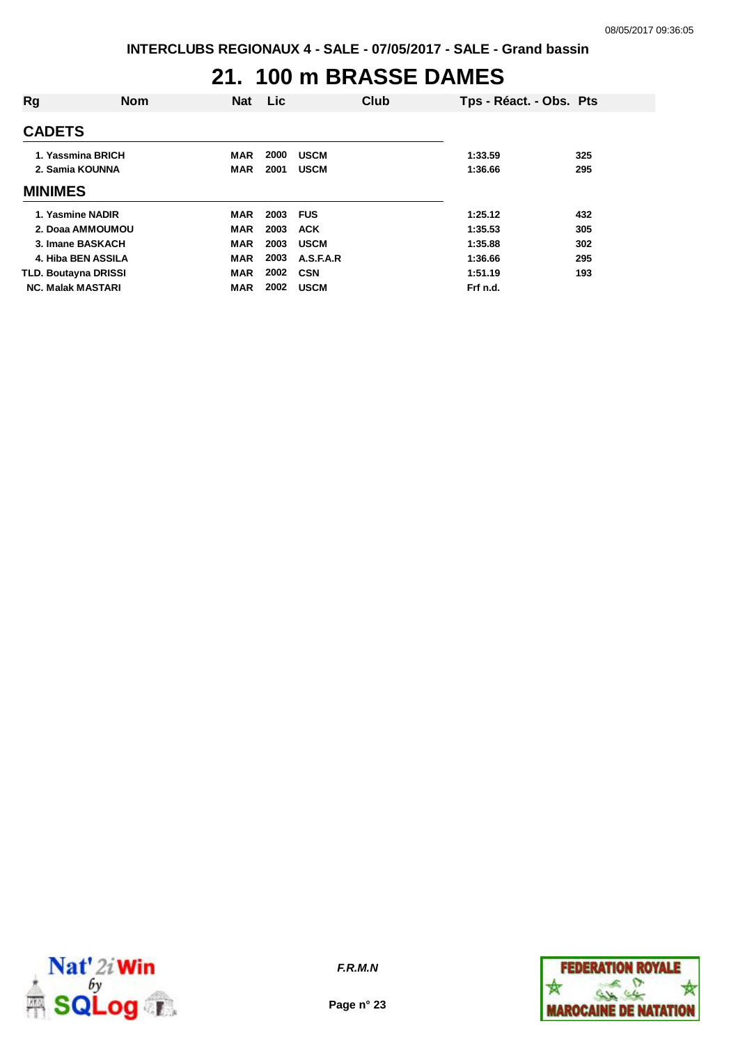#### **21. 100 m BRASSE DAMES**

| Rg             | <b>Nom</b>                           | <b>Nat</b>               | <b>Lic</b>   | Club                       | Tps - Réact. - Obs. Pts |            |
|----------------|--------------------------------------|--------------------------|--------------|----------------------------|-------------------------|------------|
| <b>CADETS</b>  |                                      |                          |              |                            |                         |            |
|                | 1. Yassmina BRICH<br>2. Samia KOUNNA | <b>MAR</b><br><b>MAR</b> | 2000<br>2001 | <b>USCM</b><br><b>USCM</b> | 1:33.59<br>1:36.66      | 325<br>295 |
| <b>MINIMES</b> |                                      |                          |              |                            |                         |            |
|                | 1. Yasmine NADIR                     | MAR                      | 2003         | <b>FUS</b>                 | 1:25.12                 | 432        |
|                | 2. Doaa AMMOUMOU                     | <b>MAR</b>               | 2003         | <b>ACK</b>                 | 1:35.53                 | 305        |
|                | 3. Imane BASKACH                     | <b>MAR</b>               | 2003         | <b>USCM</b>                | 1:35.88                 | 302        |
|                | 4. Hiba BEN ASSILA                   | <b>MAR</b>               | 2003         | A.S.F.A.R                  | 1:36.66                 | 295        |
|                | <b>TLD. Boutayna DRISSI</b>          | <b>MAR</b>               | 2002         | <b>CSN</b>                 | 1:51.19                 | 193        |
|                | <b>NC. Malak MASTARI</b>             | <b>MAR</b>               | 2002         | <b>USCM</b>                | Frf n.d.                |            |



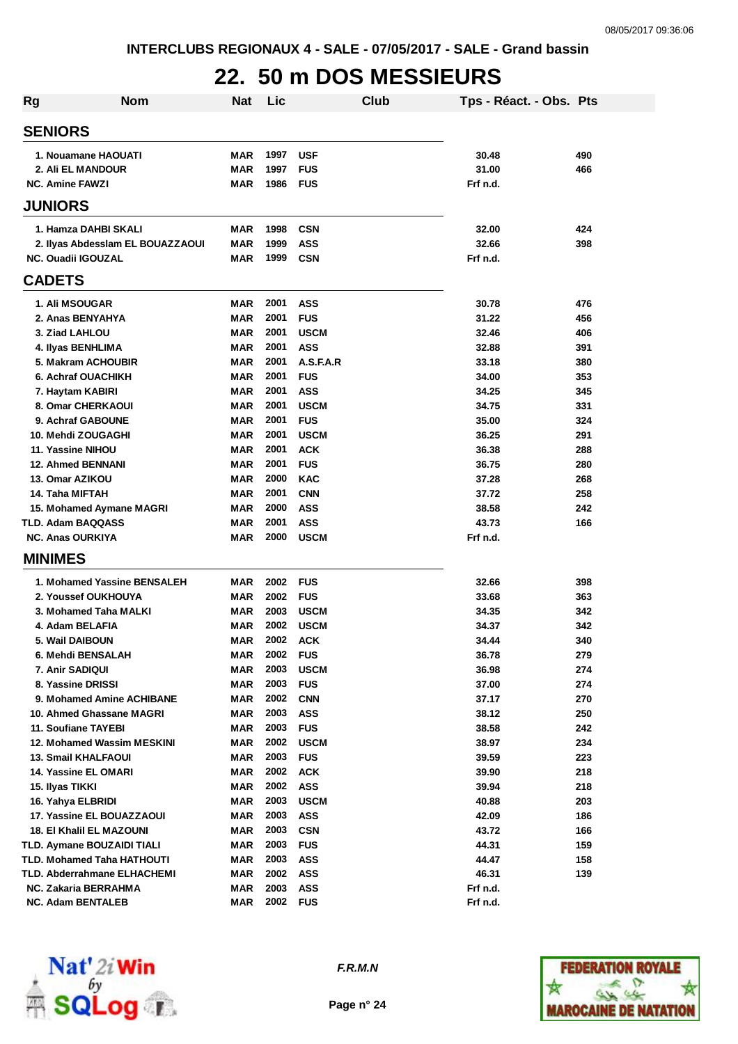## **22. 50 m DOS MESSIEURS**

| <b>Rg</b>               | <b>Nom</b>                       | <b>Nat</b> | Lic  |             | <b>Club</b> | Tps - Réact. - Obs. Pts |     |
|-------------------------|----------------------------------|------------|------|-------------|-------------|-------------------------|-----|
| <b>SENIORS</b>          |                                  |            |      |             |             |                         |     |
|                         | 1. Nouamane HAOUATI              | MAR        | 1997 | <b>USF</b>  |             | 30.48                   | 490 |
|                         | 2. Ali EL MANDOUR                | <b>MAR</b> | 1997 | <b>FUS</b>  |             | 31.00                   | 466 |
| <b>NC. Amine FAWZI</b>  |                                  | MAR        | 1986 | <b>FUS</b>  |             | Frf n.d.                |     |
| <b>JUNIORS</b>          |                                  |            |      |             |             |                         |     |
|                         | 1. Hamza DAHBI SKALI             | <b>MAR</b> | 1998 | <b>CSN</b>  |             | 32.00                   | 424 |
|                         | 2. Ilyas Abdesslam EL BOUAZZAOUI | <b>MAR</b> | 1999 | <b>ASS</b>  |             | 32.66                   | 398 |
|                         | <b>NC. Ouadii IGOUZAL</b>        | <b>MAR</b> | 1999 | <b>CSN</b>  |             | Frf n.d.                |     |
| <b>CADETS</b>           |                                  |            |      |             |             |                         |     |
|                         | <b>1. Ali MSOUGAR</b>            | <b>MAR</b> | 2001 | <b>ASS</b>  |             | 30.78                   | 476 |
|                         | 2. Anas BENYAHYA                 | <b>MAR</b> | 2001 | <b>FUS</b>  |             | 31.22                   | 456 |
|                         | 3. Ziad LAHLOU                   | <b>MAR</b> | 2001 | <b>USCM</b> |             | 32.46                   | 406 |
|                         | 4. Ilyas BENHLIMA                | <b>MAR</b> | 2001 | <b>ASS</b>  |             | 32.88                   | 391 |
|                         | 5. Makram ACHOUBIR               | <b>MAR</b> | 2001 | A.S.F.A.R   |             | 33.18                   | 380 |
|                         | 6. Achraf OUACHIKH               | <b>MAR</b> | 2001 | <b>FUS</b>  |             | 34.00                   | 353 |
|                         | 7. Haytam KABIRI                 | <b>MAR</b> | 2001 | <b>ASS</b>  |             | 34.25                   | 345 |
|                         | 8. Omar CHERKAOUI                | <b>MAR</b> | 2001 | <b>USCM</b> |             | 34.75                   | 331 |
|                         | 9. Achraf GABOUNE                | <b>MAR</b> | 2001 | <b>FUS</b>  |             | 35.00                   | 324 |
|                         | 10. Mehdi ZOUGAGHI               | <b>MAR</b> | 2001 | <b>USCM</b> |             | 36.25                   | 291 |
|                         | 11. Yassine NIHOU                | MAR        | 2001 | <b>ACK</b>  |             | 36.38                   | 288 |
|                         | <b>12. Ahmed BENNANI</b>         | MAR        | 2001 | <b>FUS</b>  |             | 36.75                   | 280 |
| 13. Omar AZIKOU         |                                  | MAR        | 2000 | <b>KAC</b>  |             | 37.28                   | 268 |
| 14. Taha MIFTAH         |                                  | <b>MAR</b> | 2001 | <b>CNN</b>  |             | 37.72                   | 258 |
|                         | 15. Mohamed Aymane MAGRI         | <b>MAR</b> | 2000 | <b>ASS</b>  |             | 38.58                   | 242 |
|                         | TLD. Adam BAQQASS                | MAR        | 2001 | <b>ASS</b>  |             | 43.73                   | 166 |
| <b>NC. Anas OURKIYA</b> |                                  | MAR        | 2000 | <b>USCM</b> |             | Frf n.d.                |     |
| <b>MINIMES</b>          |                                  |            |      |             |             |                         |     |
|                         | 1. Mohamed Yassine BENSALEH      | <b>MAR</b> | 2002 | <b>FUS</b>  |             | 32.66                   | 398 |
|                         | 2. Youssef OUKHOUYA              | MAR        | 2002 | <b>FUS</b>  |             | 33.68                   | 363 |
|                         | 3. Mohamed Taha MALKI            | MAR        | 2003 | <b>USCM</b> |             | 34.35                   | 342 |
|                         | 4. Adam BELAFIA                  | MAR        | 2002 | <b>USCM</b> |             | 34.37                   | 342 |
|                         | 5. Wail DAIBOUN                  | <b>MAR</b> | 2002 | <b>ACK</b>  |             | 34.44                   | 340 |
|                         | 6. Mehdi BENSALAH                | MAR        | 2002 | <b>FUS</b>  |             | 36.78                   | 279 |
|                         | 7. Anir SADIQUI                  | <b>MAR</b> | 2003 | <b>USCM</b> |             | 36.98                   | 274 |
|                         | 8. Yassine DRISSI                | MAR        | 2003 | <b>FUS</b>  |             | 37.00                   | 274 |
|                         | 9. Mohamed Amine ACHIBANE        | <b>MAR</b> | 2002 | <b>CNN</b>  |             | 37.17                   | 270 |
|                         | 10. Ahmed Ghassane MAGRI         | MAR        | 2003 | <b>ASS</b>  |             | 38.12                   | 250 |
|                         | 11. Soufiane TAYEBI              | MAR        | 2003 | <b>FUS</b>  |             | 38.58                   | 242 |
|                         | 12. Mohamed Wassim MESKINI       | MAR        | 2002 | <b>USCM</b> |             | 38.97                   | 234 |
|                         | <b>13. Smail KHALFAOUI</b>       | MAR        | 2003 | <b>FUS</b>  |             | 39.59                   | 223 |
|                         | 14. Yassine EL OMARI             | MAR        | 2002 | <b>ACK</b>  |             | 39.90                   | 218 |
| 15. Ilyas TIKKI         |                                  | MAR        | 2002 | <b>ASS</b>  |             | 39.94                   | 218 |
|                         | 16. Yahya ELBRIDI                | MAR        | 2003 | <b>USCM</b> |             | 40.88                   | 203 |
|                         | 17. Yassine EL BOUAZZAOUI        | MAR        | 2003 | <b>ASS</b>  |             | 42.09                   | 186 |
|                         | 18. El Khalil EL MAZOUNI         | MAR        | 2003 | <b>CSN</b>  |             | 43.72                   | 166 |
|                         | TLD. Aymane BOUZAIDI TIALI       | MAR        | 2003 | <b>FUS</b>  |             | 44.31                   | 159 |
|                         | TLD. Mohamed Taha HATHOUTI       | MAR        | 2003 | <b>ASS</b>  |             | 44.47                   | 158 |
|                         | TLD. Abderrahmane ELHACHEMI      | MAR        | 2002 | <b>ASS</b>  |             | 46.31                   | 139 |
|                         | <b>NC. Zakaria BERRAHMA</b>      | MAR        | 2003 | <b>ASS</b>  |             | Frf n.d.                |     |
|                         | <b>NC. Adam BENTALEB</b>         | MAR        | 2002 | <b>FUS</b>  |             | Frf n.d.                |     |



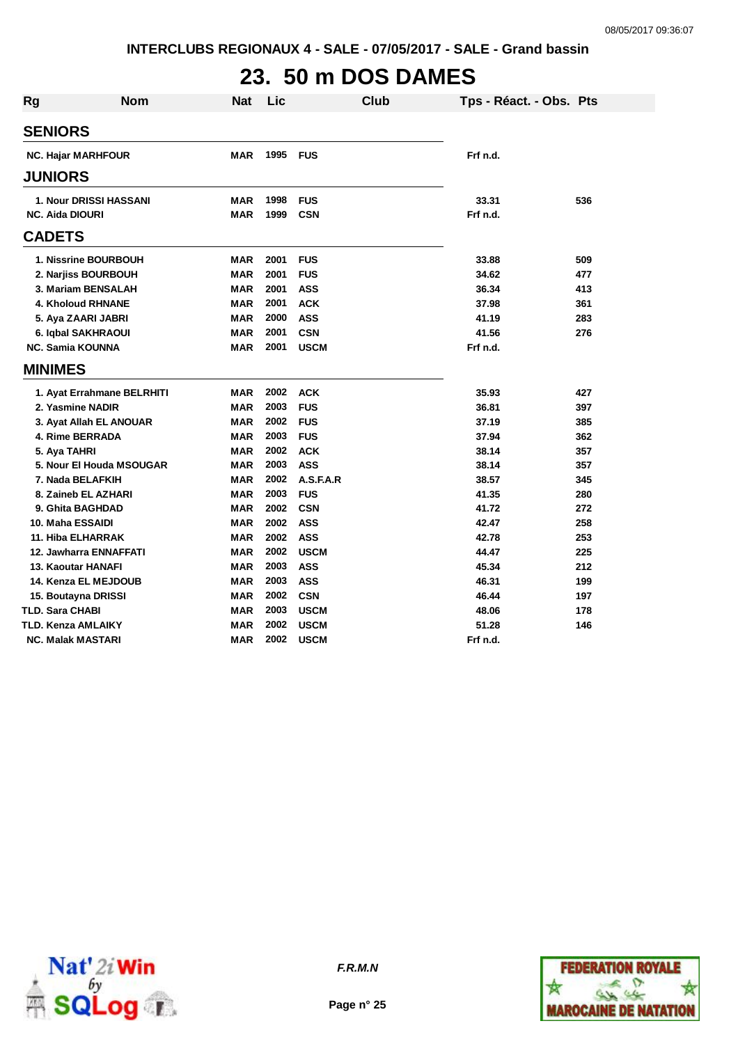# **23. 50 m DOS DAMES**

| <b>Rg</b>              | <b>Nom</b>                    | Nat        | Lic  | <b>Club</b> |          | Tps - Réact. - Obs. Pts |     |
|------------------------|-------------------------------|------------|------|-------------|----------|-------------------------|-----|
| <b>SENIORS</b>         |                               |            |      |             |          |                         |     |
|                        | <b>NC. Hajar MARHFOUR</b>     | <b>MAR</b> | 1995 | <b>FUS</b>  | Frf n.d. |                         |     |
| <b>JUNIORS</b>         |                               |            |      |             |          |                         |     |
|                        | <b>1. Nour DRISSI HASSANI</b> | MAR        | 1998 | <b>FUS</b>  | 33.31    |                         | 536 |
|                        | <b>NC. Aida DIOURI</b>        | <b>MAR</b> | 1999 | <b>CSN</b>  | Frf n.d. |                         |     |
| <b>CADETS</b>          |                               |            |      |             |          |                         |     |
|                        | 1. Nissrine BOURBOUH          | MAR        | 2001 | <b>FUS</b>  | 33.88    |                         | 509 |
|                        | 2. Narjiss BOURBOUH           | <b>MAR</b> | 2001 | <b>FUS</b>  | 34.62    |                         | 477 |
|                        | 3. Mariam BENSALAH            | <b>MAR</b> | 2001 | <b>ASS</b>  | 36.34    |                         | 413 |
|                        | 4. Kholoud RHNANE             | <b>MAR</b> | 2001 | <b>ACK</b>  | 37.98    |                         | 361 |
|                        | 5. Aya ZAARI JABRI            | <b>MAR</b> | 2000 | <b>ASS</b>  | 41.19    |                         | 283 |
|                        | 6. Iqbal SAKHRAOUI            | MAR        | 2001 | <b>CSN</b>  | 41.56    |                         | 276 |
|                        | <b>NC. Samia KOUNNA</b>       | MAR        | 2001 | <b>USCM</b> | Frf n.d. |                         |     |
| <b>MINIMES</b>         |                               |            |      |             |          |                         |     |
|                        | 1. Ayat Errahmane BELRHITI    | MAR        | 2002 | <b>ACK</b>  | 35.93    |                         | 427 |
|                        | 2. Yasmine NADIR              | <b>MAR</b> | 2003 | <b>FUS</b>  | 36.81    |                         | 397 |
|                        | 3. Ayat Allah EL ANOUAR       | <b>MAR</b> | 2002 | <b>FUS</b>  | 37.19    |                         | 385 |
|                        | 4. Rime BERRADA               | <b>MAR</b> | 2003 | <b>FUS</b>  | 37.94    |                         | 362 |
|                        | 5. Aya TAHRI                  | <b>MAR</b> | 2002 | <b>ACK</b>  | 38.14    |                         | 357 |
|                        | 5. Nour El Houda MSOUGAR      | <b>MAR</b> | 2003 | <b>ASS</b>  | 38.14    |                         | 357 |
|                        | 7. Nada BELAFKIH              | <b>MAR</b> | 2002 | A.S.F.A.R   | 38.57    |                         | 345 |
|                        | 8. Zaineb EL AZHARI           | <b>MAR</b> | 2003 | <b>FUS</b>  | 41.35    |                         | 280 |
|                        | 9. Ghita BAGHDAD              | <b>MAR</b> | 2002 | <b>CSN</b>  | 41.72    |                         | 272 |
|                        | 10. Maha ESSAIDI              | MAR        | 2002 | <b>ASS</b>  | 42.47    |                         | 258 |
|                        | 11. Hiba ELHARRAK             | MAR        | 2002 | <b>ASS</b>  | 42.78    |                         | 253 |
|                        | 12. Jawharra ENNAFFATI        | <b>MAR</b> | 2002 | <b>USCM</b> | 44.47    |                         | 225 |
|                        | <b>13. Kaoutar HANAFI</b>     | <b>MAR</b> | 2003 | <b>ASS</b>  | 45.34    |                         | 212 |
|                        | 14. Kenza EL MEJDOUB          | <b>MAR</b> | 2003 | <b>ASS</b>  | 46.31    |                         | 199 |
|                        | 15. Boutayna DRISSI           | <b>MAR</b> | 2002 | <b>CSN</b>  | 46.44    |                         | 197 |
| <b>TLD. Sara CHABI</b> |                               | MAR        | 2003 | <b>USCM</b> | 48.06    |                         | 178 |
|                        | TLD. Kenza AMLAIKY            | <b>MAR</b> | 2002 | <b>USCM</b> | 51.28    |                         | 146 |
|                        | <b>NC. Malak MASTARI</b>      | MAR        | 2002 | <b>USCM</b> | Frf n.d. |                         |     |



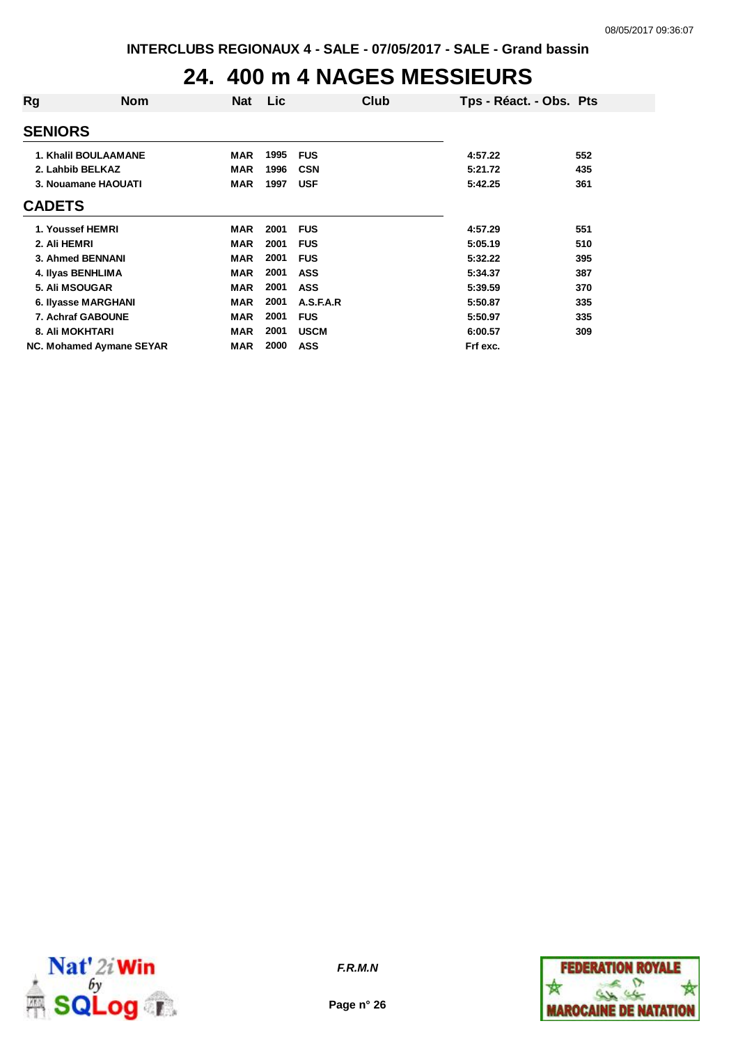## **24. 400 m 4 NAGES MESSIEURS**

| Rg                  | <b>Nom</b>                  | <b>Nat</b> | Lic  | Club        | Tps - Réact. - Obs. Pts |     |
|---------------------|-----------------------------|------------|------|-------------|-------------------------|-----|
| <b>SENIORS</b>      |                             |            |      |             |                         |     |
|                     | <b>1. Khalil BOULAAMANE</b> | <b>MAR</b> | 1995 | <b>FUS</b>  | 4:57.22                 | 552 |
| 2. Lahbib BELKAZ    |                             | <b>MAR</b> | 1996 | <b>CSN</b>  | 5:21.72                 | 435 |
|                     | 3. Nouamane HAOUATI         | <b>MAR</b> | 1997 | <b>USF</b>  | 5:42.25                 | 361 |
| <b>CADETS</b>       |                             |            |      |             |                         |     |
| 1. Youssef HEMRI    |                             | <b>MAR</b> | 2001 | <b>FUS</b>  | 4:57.29                 | 551 |
| 2. Ali HEMRI        |                             | <b>MAR</b> | 2001 | <b>FUS</b>  | 5:05.19                 | 510 |
| 3. Ahmed BENNANI    |                             | <b>MAR</b> | 2001 | <b>FUS</b>  | 5:32.22                 | 395 |
| 4. Ilyas BENHLIMA   |                             | <b>MAR</b> | 2001 | <b>ASS</b>  | 5:34.37                 | 387 |
| 5. Ali MSOUGAR      |                             | <b>MAR</b> | 2001 | <b>ASS</b>  | 5:39.59                 | 370 |
| 6. Ilyasse MARGHANI |                             | <b>MAR</b> | 2001 | A.S.F.A.R   | 5:50.87                 | 335 |
| 7. Achraf GABOUNE   |                             | <b>MAR</b> | 2001 | <b>FUS</b>  | 5:50.97                 | 335 |
| 8. Ali MOKHTARI     |                             | <b>MAR</b> | 2001 | <b>USCM</b> | 6:00.57                 | 309 |
|                     | NC. Mohamed Aymane SEYAR    | <b>MAR</b> | 2000 | <b>ASS</b>  | Frf exc.                |     |



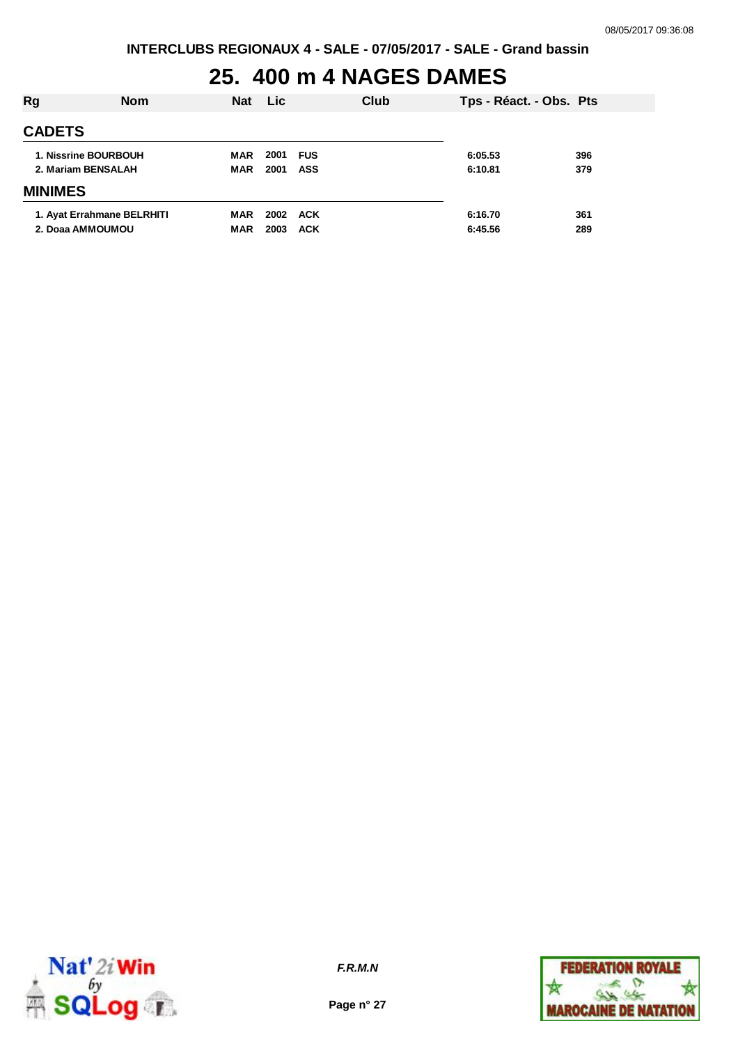#### **25. 400 m 4 NAGES DAMES**

| Rg             | <b>Nom</b>                                     | <b>Nat</b>        | <b>Lic</b>   |                          | Club | Tps - Réact. - Obs. Pts |            |
|----------------|------------------------------------------------|-------------------|--------------|--------------------------|------|-------------------------|------------|
| <b>CADETS</b>  |                                                |                   |              |                          |      |                         |            |
|                | 1. Nissrine BOURBOUH<br>2. Mariam BENSALAH     | MAR<br><b>MAR</b> | 2001<br>2001 | <b>FUS</b><br><b>ASS</b> |      | 6:05.53<br>6:10.81      | 396<br>379 |
| <b>MINIMES</b> |                                                |                   |              |                          |      |                         |            |
|                | 1. Ayat Errahmane BELRHITI<br>2. Doaa AMMOUMOU | MAR<br><b>MAR</b> | 2002<br>2003 | ACK<br><b>ACK</b>        |      | 6:16.70<br>6:45.56      | 361<br>289 |



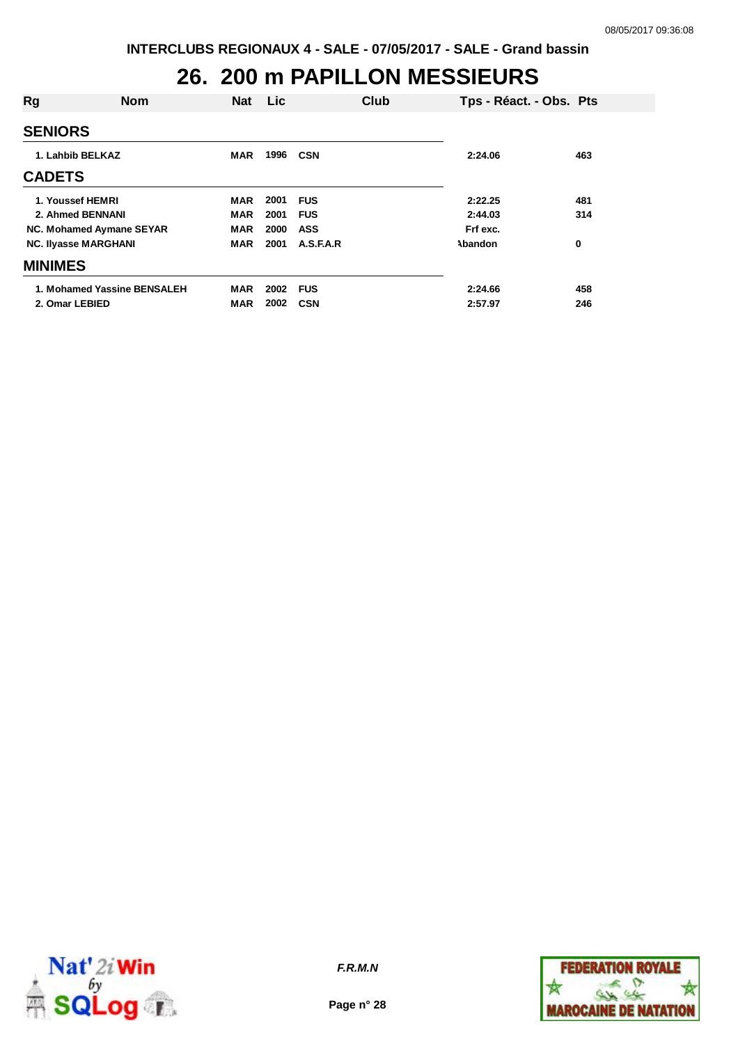### **26. 200 m PAPILLON MESSIEURS**

| Rg                          | <b>Nom</b>                  | <b>Nat</b> | <b>Lic</b> |            | Club | Tps - Réact. - Obs. Pts |     |
|-----------------------------|-----------------------------|------------|------------|------------|------|-------------------------|-----|
|                             |                             |            |            |            |      |                         |     |
| <b>SENIORS</b>              |                             |            |            |            |      |                         |     |
| 1. Lahbib BELKAZ            |                             | <b>MAR</b> | 1996       | CSN        |      | 2:24.06                 | 463 |
| <b>CADETS</b>               |                             |            |            |            |      |                         |     |
| 1. Youssef HEMRI            |                             | MAR        | 2001       | <b>FUS</b> |      | 2:22.25                 | 481 |
| 2. Ahmed BENNANI            |                             | <b>MAR</b> | 2001       | <b>FUS</b> |      | 2:44.03                 | 314 |
| NC. Mohamed Aymane SEYAR    |                             | <b>MAR</b> | 2000       | <b>ASS</b> |      | Frf exc.                |     |
| <b>NC. Ilyasse MARGHANI</b> |                             | <b>MAR</b> | 2001       | A.S.F.A.R  |      | Abandon                 | 0   |
| <b>MINIMES</b>              |                             |            |            |            |      |                         |     |
|                             | 1. Mohamed Yassine BENSALEH | <b>MAR</b> | 2002       | <b>FUS</b> |      | 2:24.66                 | 458 |
| 2. Omar LEBIED              |                             | MAR        | 2002       | <b>CSN</b> |      | 2:57.97                 | 246 |



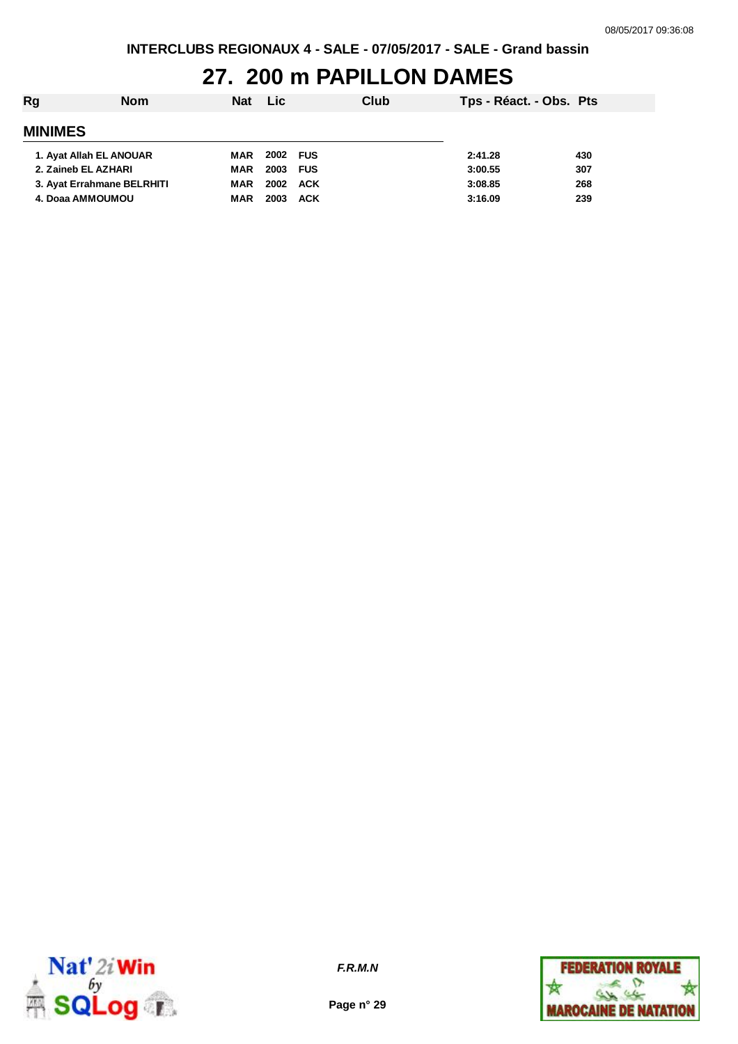## **27. 200 m PAPILLON DAMES**

| Rg                         | <b>Nom</b> | <b>Nat</b> | <b>Lic</b> |            | Club | Tps - Réact. - Obs. Pts |     |
|----------------------------|------------|------------|------------|------------|------|-------------------------|-----|
| <b>MINIMES</b>             |            |            |            |            |      |                         |     |
| 1. Ayat Allah EL ANOUAR    |            | MAR        | 2002 FUS   |            |      | 2:41.28                 | 430 |
| 2. Zaineb EL AZHARI        |            | MAR        | 2003 FUS   |            |      | 3:00.55                 | 307 |
| 3. Ayat Errahmane BELRHITI |            | MAR        | 2002       | ACK        |      | 3:08.85                 | 268 |
| 4. Doaa AMMOUMOU           |            | <b>MAR</b> | 2003       | <b>ACK</b> |      | 3:16.09                 | 239 |



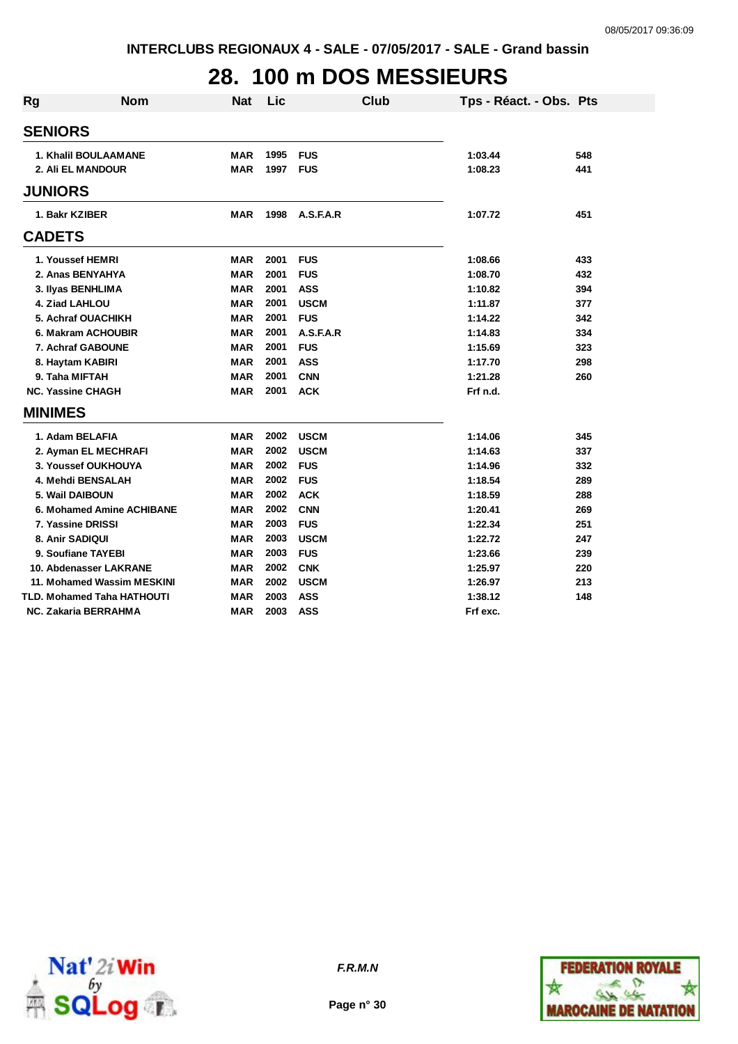# **28. 100 m DOS MESSIEURS**

| <b>Rg</b>                  | <b>Nom</b> | <b>Nat</b> | Lic  |             | <b>Club</b> | Tps - Réact. - Obs. Pts |     |
|----------------------------|------------|------------|------|-------------|-------------|-------------------------|-----|
| <b>SENIORS</b>             |            |            |      |             |             |                         |     |
| 1. Khalil BOULAAMANE       |            | <b>MAR</b> | 1995 | <b>FUS</b>  |             | 1:03.44                 | 548 |
| 2. Ali EL MANDOUR          |            | <b>MAR</b> | 1997 | <b>FUS</b>  |             | 1:08.23                 | 441 |
| <b>JUNIORS</b>             |            |            |      |             |             |                         |     |
| 1. Bakr KZIBER             |            | MAR        | 1998 | A.S.F.A.R   |             | 1:07.72                 | 451 |
| <b>CADETS</b>              |            |            |      |             |             |                         |     |
| 1. Youssef HEMRI           |            | <b>MAR</b> | 2001 | <b>FUS</b>  |             | 1:08.66                 | 433 |
| 2. Anas BENYAHYA           |            | <b>MAR</b> | 2001 | <b>FUS</b>  |             | 1:08.70                 | 432 |
| 3. Ilyas BENHLIMA          |            | <b>MAR</b> | 2001 | <b>ASS</b>  |             | 1:10.82                 | 394 |
| 4. Ziad LAHLOU             |            | <b>MAR</b> | 2001 | <b>USCM</b> |             | 1:11.87                 | 377 |
| 5. Achraf OUACHIKH         |            | <b>MAR</b> | 2001 | <b>FUS</b>  |             | 1:14.22                 | 342 |
| 6. Makram ACHOUBIR         |            | <b>MAR</b> | 2001 | A.S.F.A.R   |             | 1:14.83                 | 334 |
| 7. Achraf GABOUNE          |            | <b>MAR</b> | 2001 | <b>FUS</b>  |             | 1:15.69                 | 323 |
| 8. Haytam KABIRI           |            | <b>MAR</b> | 2001 | <b>ASS</b>  |             | 1:17.70                 | 298 |
| 9. Taha MIFTAH             |            | <b>MAR</b> | 2001 | <b>CNN</b>  |             | 1:21.28                 | 260 |
| <b>NC. Yassine CHAGH</b>   |            | <b>MAR</b> | 2001 | <b>ACK</b>  |             | Frf n.d.                |     |
| <b>MINIMES</b>             |            |            |      |             |             |                         |     |
| 1. Adam BELAFIA            |            | MAR        | 2002 | <b>USCM</b> |             | 1:14.06                 | 345 |
| 2. Ayman EL MECHRAFI       |            | <b>MAR</b> | 2002 | <b>USCM</b> |             | 1:14.63                 | 337 |
| 3. Youssef OUKHOUYA        |            | <b>MAR</b> | 2002 | <b>FUS</b>  |             | 1:14.96                 | 332 |
| 4. Mehdi BENSALAH          |            | <b>MAR</b> | 2002 | <b>FUS</b>  |             | 1:18.54                 | 289 |
| 5. Wail DAIBOUN            |            | <b>MAR</b> | 2002 | <b>ACK</b>  |             | 1:18.59                 | 288 |
| 6. Mohamed Amine ACHIBANE  |            | <b>MAR</b> | 2002 | <b>CNN</b>  |             | 1:20.41                 | 269 |
| 7. Yassine DRISSI          |            | <b>MAR</b> | 2003 | <b>FUS</b>  |             | 1:22.34                 | 251 |
| 8. Anir SADIQUI            |            | <b>MAR</b> | 2003 | <b>USCM</b> |             | 1:22.72                 | 247 |
| 9. Soufiane TAYEBI         |            | <b>MAR</b> | 2003 | <b>FUS</b>  |             | 1:23.66                 | 239 |
| 10. Abdenasser LAKRANE     |            | <b>MAR</b> | 2002 | <b>CNK</b>  |             | 1:25.97                 | 220 |
| 11. Mohamed Wassim MESKINI |            | <b>MAR</b> | 2002 | <b>USCM</b> |             | 1:26.97                 | 213 |
| TLD. Mohamed Taha HATHOUTI |            | <b>MAR</b> | 2003 | <b>ASS</b>  |             | 1:38.12                 | 148 |
| NC. Zakaria BERRAHMA       |            | <b>MAR</b> | 2003 | <b>ASS</b>  |             | Frf exc.                |     |



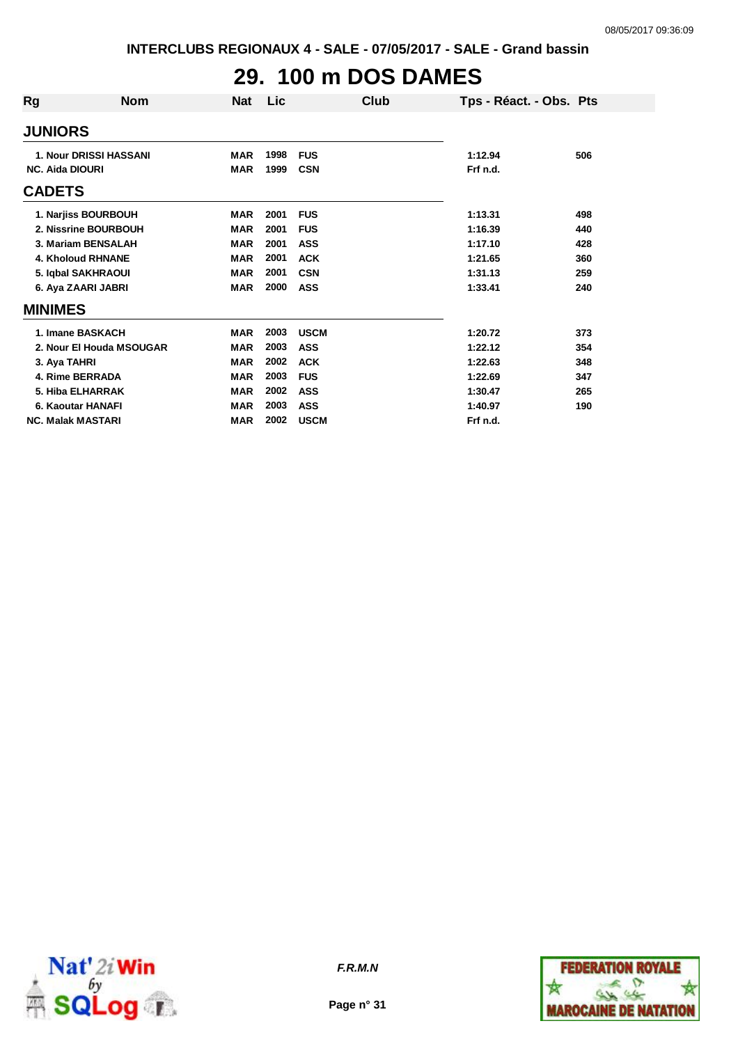# **29. 100 m DOS DAMES**

| Rg                     | <b>Nom</b>                    | <b>Nat</b> | Lic  | Club        | Tps - Réact. - Obs. Pts |     |
|------------------------|-------------------------------|------------|------|-------------|-------------------------|-----|
| <b>JUNIORS</b>         |                               |            |      |             |                         |     |
|                        | <b>1. Nour DRISSI HASSANI</b> | <b>MAR</b> | 1998 | <b>FUS</b>  | 1:12.94                 | 506 |
| <b>NC. Aida DIOURI</b> |                               | <b>MAR</b> | 1999 | <b>CSN</b>  | Frf n.d.                |     |
| <b>CADETS</b>          |                               |            |      |             |                         |     |
|                        | 1. Narjiss BOURBOUH           | <b>MAR</b> | 2001 | <b>FUS</b>  | 1:13.31                 | 498 |
|                        | 2. Nissrine BOURBOUH          | <b>MAR</b> | 2001 | <b>FUS</b>  | 1:16.39                 | 440 |
|                        | 3. Mariam BENSALAH            | <b>MAR</b> | 2001 | <b>ASS</b>  | 1:17.10                 | 428 |
|                        | <b>4. Kholoud RHNANE</b>      | <b>MAR</b> | 2001 | <b>ACK</b>  | 1:21.65                 | 360 |
|                        | 5. Iqbal SAKHRAOUI            | <b>MAR</b> | 2001 | <b>CSN</b>  | 1:31.13                 | 259 |
|                        | 6. Aya ZAARI JABRI            | <b>MAR</b> | 2000 | ASS         | 1:33.41                 | 240 |
| <b>MINIMES</b>         |                               |            |      |             |                         |     |
|                        | 1. Imane BASKACH              | <b>MAR</b> | 2003 | <b>USCM</b> | 1:20.72                 | 373 |
|                        | 2. Nour El Houda MSOUGAR      | <b>MAR</b> | 2003 | <b>ASS</b>  | 1:22.12                 | 354 |
| 3. Aya TAHRI           |                               | <b>MAR</b> | 2002 | <b>ACK</b>  | 1:22.63                 | 348 |
|                        | 4. Rime BERRADA               | <b>MAR</b> | 2003 | <b>FUS</b>  | 1:22.69                 | 347 |
|                        | 5. Hiba ELHARRAK              | <b>MAR</b> | 2002 | <b>ASS</b>  | 1:30.47                 | 265 |
|                        | 6. Kaoutar HANAFI             | <b>MAR</b> | 2003 | <b>ASS</b>  | 1:40.97                 | 190 |
|                        | <b>NC. Malak MASTARI</b>      | <b>MAR</b> | 2002 | <b>USCM</b> | Frf n.d.                |     |



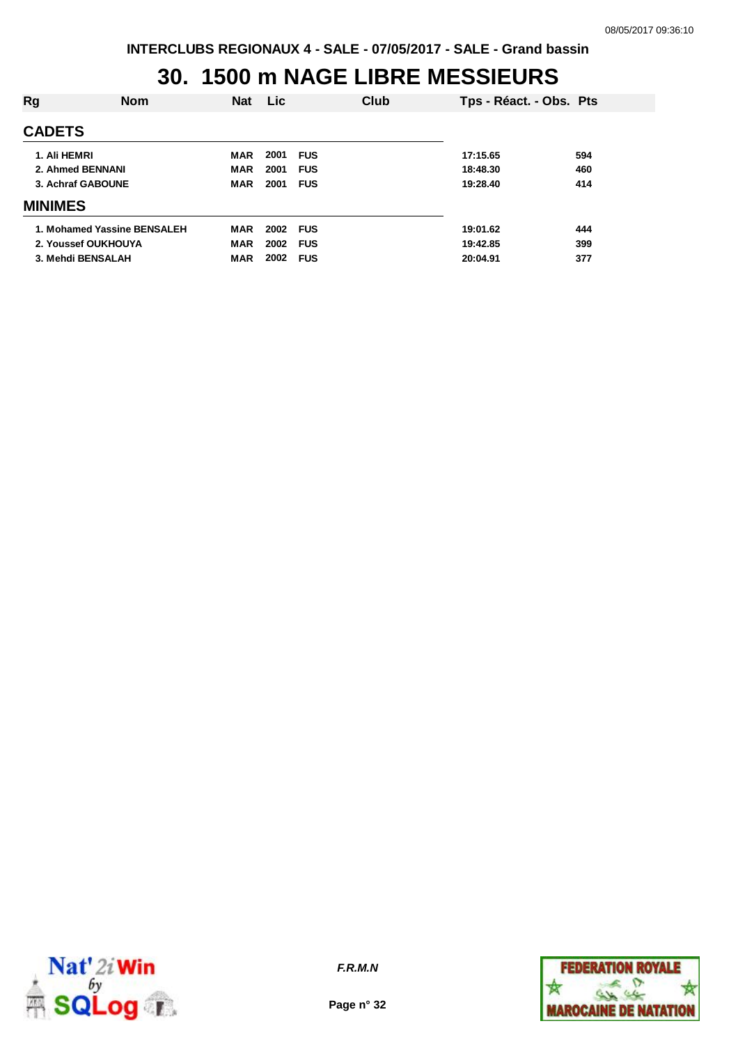## **30. 1500 m NAGE LIBRE MESSIEURS**

| Rg                | <b>Nom</b>                  | <b>Nat</b> | <b>Lic</b> |            | Club | Tps - Réact. - Obs. Pts |     |
|-------------------|-----------------------------|------------|------------|------------|------|-------------------------|-----|
| <b>CADETS</b>     |                             |            |            |            |      |                         |     |
| 1. Ali HEMRI      |                             | <b>MAR</b> | 2001       | <b>FUS</b> |      | 17:15.65                | 594 |
| 2. Ahmed BENNANI  |                             | <b>MAR</b> | 2001       | <b>FUS</b> |      | 18:48.30                | 460 |
| 3. Achraf GABOUNE |                             | <b>MAR</b> | 2001       | <b>FUS</b> |      | 19:28.40                | 414 |
| <b>MINIMES</b>    |                             |            |            |            |      |                         |     |
|                   | 1. Mohamed Yassine BENSALEH | MAR        | 2002 FUS   |            |      | 19:01.62                | 444 |
|                   | 2. Youssef OUKHOUYA         | <b>MAR</b> | 2002       | <b>FUS</b> |      | 19:42.85                | 399 |
|                   | 3. Mehdi BENSALAH           | <b>MAR</b> | 2002       | <b>FUS</b> |      | 20:04.91                | 377 |



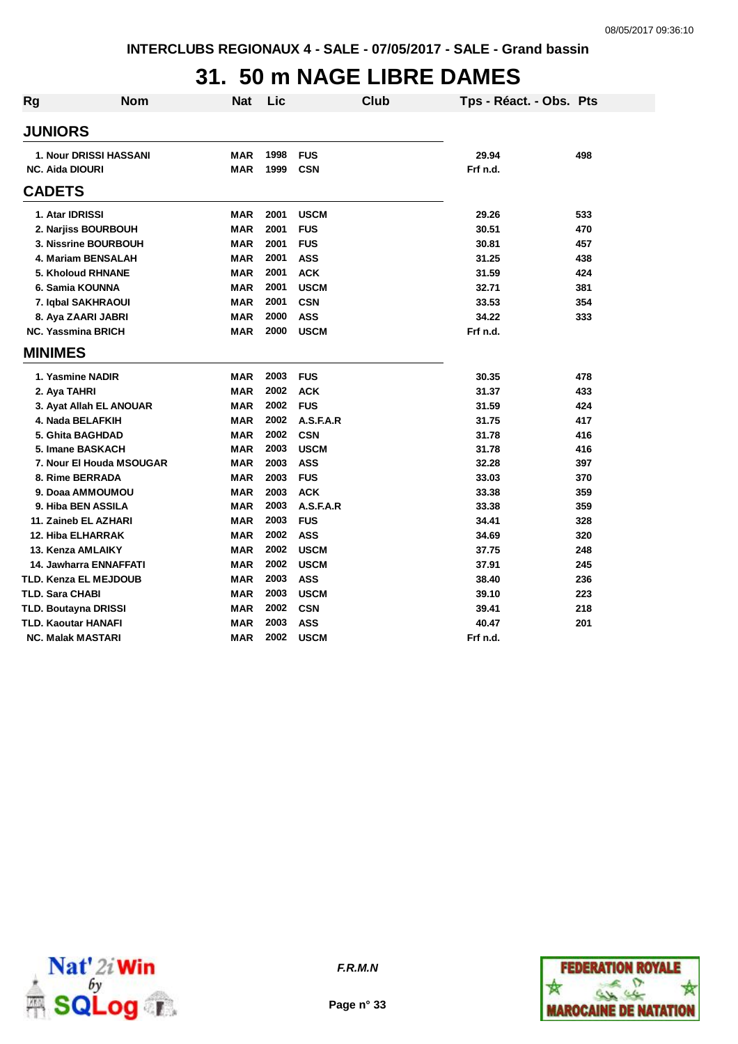## **31. 50 m NAGE LIBRE DAMES**

| <b>Rg</b> | <b>Nom</b>                    | <b>Nat</b> | Lic  |             | <b>Club</b> | Tps - Réact. - Obs. Pts |     |
|-----------|-------------------------------|------------|------|-------------|-------------|-------------------------|-----|
|           | <b>JUNIORS</b>                |            |      |             |             |                         |     |
|           | <b>1. Nour DRISSI HASSANI</b> | <b>MAR</b> | 1998 | <b>FUS</b>  |             | 29.94                   | 498 |
|           | <b>NC. Aida DIOURI</b>        | <b>MAR</b> | 1999 | <b>CSN</b>  |             | Frf n.d.                |     |
|           | <b>CADETS</b>                 |            |      |             |             |                         |     |
|           | 1. Atar IDRISSI               | <b>MAR</b> | 2001 | <b>USCM</b> |             | 29.26                   | 533 |
|           | 2. Narjiss BOURBOUH           | <b>MAR</b> | 2001 | <b>FUS</b>  |             | 30.51                   | 470 |
|           | 3. Nissrine BOURBOUH          | <b>MAR</b> | 2001 | <b>FUS</b>  |             | 30.81                   | 457 |
|           | 4. Mariam BENSALAH            | <b>MAR</b> | 2001 | ASS         |             | 31.25                   | 438 |
|           | <b>5. Kholoud RHNANE</b>      | <b>MAR</b> | 2001 | <b>ACK</b>  |             | 31.59                   | 424 |
|           | 6. Samia KOUNNA               | <b>MAR</b> | 2001 | <b>USCM</b> |             | 32.71                   | 381 |
|           | 7. Iqbal SAKHRAOUI            | <b>MAR</b> | 2001 | <b>CSN</b>  |             | 33.53                   | 354 |
|           | 8. Aya ZAARI JABRI            | <b>MAR</b> | 2000 | <b>ASS</b>  |             | 34.22                   | 333 |
|           | <b>NC. Yassmina BRICH</b>     | <b>MAR</b> | 2000 | <b>USCM</b> |             | Frf n.d.                |     |
|           | <b>MINIMES</b>                |            |      |             |             |                         |     |
|           | 1. Yasmine NADIR              | <b>MAR</b> | 2003 | <b>FUS</b>  |             | 30.35                   | 478 |
|           | 2. Aya TAHRI                  | <b>MAR</b> | 2002 | <b>ACK</b>  |             | 31.37                   | 433 |
|           | 3. Ayat Allah EL ANOUAR       | <b>MAR</b> | 2002 | <b>FUS</b>  |             | 31.59                   | 424 |
|           | 4. Nada BELAFKIH              | <b>MAR</b> | 2002 | A.S.F.A.R   |             | 31.75                   | 417 |
|           | 5. Ghita BAGHDAD              | <b>MAR</b> | 2002 | <b>CSN</b>  |             | 31.78                   | 416 |
|           | 5. Imane BASKACH              | <b>MAR</b> | 2003 | <b>USCM</b> |             | 31.78                   | 416 |
|           | 7. Nour El Houda MSOUGAR      | <b>MAR</b> | 2003 | <b>ASS</b>  |             | 32.28                   | 397 |
|           | 8. Rime BERRADA               | <b>MAR</b> | 2003 | <b>FUS</b>  |             | 33.03                   | 370 |
|           | 9. Doaa AMMOUMOU              | <b>MAR</b> | 2003 | <b>ACK</b>  |             | 33.38                   | 359 |
|           | 9. Hiba BEN ASSILA            | <b>MAR</b> | 2003 | A.S.F.A.R   |             | 33.38                   | 359 |
|           | 11. Zaineb EL AZHARI          | <b>MAR</b> | 2003 | <b>FUS</b>  |             | 34.41                   | 328 |
|           | <b>12. Hiba ELHARRAK</b>      | <b>MAR</b> | 2002 | <b>ASS</b>  |             | 34.69                   | 320 |
|           | 13. Kenza AMLAIKY             | <b>MAR</b> | 2002 | <b>USCM</b> |             | 37.75                   | 248 |
|           | 14. Jawharra ENNAFFATI        | <b>MAR</b> | 2002 | <b>USCM</b> |             | 37.91                   | 245 |
|           | TLD. Kenza EL MEJDOUB         | <b>MAR</b> | 2003 | <b>ASS</b>  |             | 38.40                   | 236 |
|           | <b>TLD. Sara CHABI</b>        | <b>MAR</b> | 2003 | <b>USCM</b> |             | 39.10                   | 223 |
|           | <b>TLD. Boutayna DRISSI</b>   | <b>MAR</b> | 2002 | <b>CSN</b>  |             | 39.41                   | 218 |
|           | <b>TLD. Kaoutar HANAFI</b>    | MAR        | 2003 | <b>ASS</b>  |             | 40.47                   | 201 |
|           | <b>NC. Malak MASTARI</b>      | MAR        | 2002 | <b>USCM</b> |             | Frf n.d.                |     |





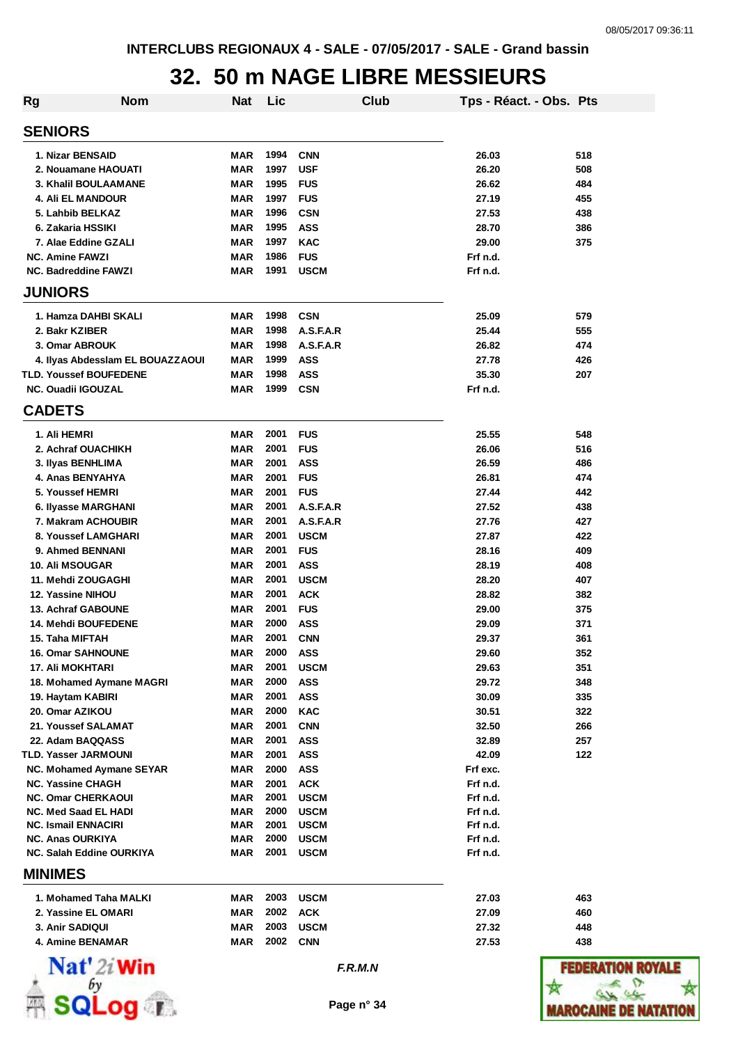## **32. 50 m NAGE LIBRE MESSIEURS**

| <b>Rg</b>      | <b>Nom</b>                                            | <b>Nat</b> | Lic          |                           | Club | Tps - Réact. - Obs. Pts |              |
|----------------|-------------------------------------------------------|------------|--------------|---------------------------|------|-------------------------|--------------|
|                | <b>SENIORS</b>                                        |            |              |                           |      |                         |              |
|                | 1. Nizar BENSAID                                      | <b>MAR</b> | 1994         | <b>CNN</b>                |      | 26.03                   | 518          |
|                | 2. Nouamane HAOUATI                                   | <b>MAR</b> | 1997         | <b>USF</b>                |      | 26.20                   | 508          |
|                | 3. Khalil BOULAAMANE                                  | <b>MAR</b> | 1995         | <b>FUS</b>                |      | 26.62                   | 484          |
|                | <b>4. Ali EL MANDOUR</b>                              | <b>MAR</b> | 1997         | <b>FUS</b>                |      | 27.19                   | 455          |
|                | 5. Lahbib BELKAZ                                      | <b>MAR</b> | 1996         | <b>CSN</b>                |      | 27.53                   | 438          |
|                | 6. Zakaria HSSIKI                                     | <b>MAR</b> | 1995         | <b>ASS</b>                |      | 28.70                   | 386          |
|                | 7. Alae Eddine GZALI                                  | <b>MAR</b> | 1997         | <b>KAC</b>                |      | 29.00                   | 375          |
|                | <b>NC. Amine FAWZI</b>                                | <b>MAR</b> | 1986         | <b>FUS</b>                |      | Frf n.d.                |              |
|                | <b>NC. Badreddine FAWZI</b>                           | <b>MAR</b> | 1991         | <b>USCM</b>               |      | Frf n.d.                |              |
| <b>JUNIORS</b> |                                                       |            |              |                           |      |                         |              |
|                | 1. Hamza DAHBI SKALI                                  | <b>MAR</b> | 1998         | <b>CSN</b>                |      | 25.09                   | 579          |
|                | 2. Bakr KZIBER                                        | <b>MAR</b> | 1998         | A.S.F.A.R                 |      | 25.44                   | 555          |
|                | 3. Omar ABROUK                                        | <b>MAR</b> | 1998         | A.S.F.A.R                 |      | 26.82                   | 474          |
|                | 4. Ilyas Abdesslam EL BOUAZZAOUI                      | <b>MAR</b> | 1999         | <b>ASS</b>                |      | 27.78                   | 426          |
|                | <b>TLD. Youssef BOUFEDENE</b>                         | <b>MAR</b> | 1998         | <b>ASS</b>                |      | 35.30                   | 207          |
|                | <b>NC. Ouadii IGOUZAL</b>                             | <b>MAR</b> | 1999         | <b>CSN</b>                |      | Frf n.d.                |              |
| <b>CADETS</b>  |                                                       |            |              |                           |      |                         |              |
|                | 1. Ali HEMRI                                          | <b>MAR</b> | 2001         | <b>FUS</b>                |      | 25.55                   | 548          |
|                | 2. Achraf OUACHIKH                                    | <b>MAR</b> | 2001         | <b>FUS</b>                |      | 26.06                   | 516          |
|                | 3. Ilyas BENHLIMA                                     | <b>MAR</b> | 2001         | <b>ASS</b>                |      | 26.59                   | 486          |
|                | 4. Anas BENYAHYA                                      | <b>MAR</b> | 2001         | <b>FUS</b>                |      | 26.81                   | 474          |
|                | 5. Youssef HEMRI                                      | <b>MAR</b> | 2001         | <b>FUS</b>                |      | 27.44                   | 442          |
|                | 6. Ilyasse MARGHANI                                   | <b>MAR</b> | 2001         | A.S.F.A.R                 |      | 27.52                   | 438          |
|                | 7. Makram ACHOUBIR                                    | MAR        | 2001         | A.S.F.A.R                 |      | 27.76                   | 427          |
|                | 8. Youssef LAMGHARI                                   | MAR        | 2001         | <b>USCM</b>               |      | 27.87                   | 422          |
|                | 9. Ahmed BENNANI                                      | MAR        | 2001         | <b>FUS</b>                |      | 28.16                   | 409          |
|                | <b>10. Ali MSOUGAR</b>                                | <b>MAR</b> | 2001         | <b>ASS</b>                |      | 28.19                   | 408          |
|                | 11. Mehdi ZOUGAGHI                                    | <b>MAR</b> | 2001         | <b>USCM</b>               |      | 28.20                   | 407          |
|                | 12. Yassine NIHOU                                     | <b>MAR</b> | 2001         | <b>ACK</b>                |      | 28.82                   | 382          |
|                | <b>13. Achraf GABOUNE</b>                             | MAR        | 2001         | <b>FUS</b>                |      | 29.00                   | 375          |
|                | 14. Mehdi BOUFEDENE                                   | MAR        | 2000         | <b>ASS</b>                |      | 29.09                   | 371          |
|                | 15. Taha MIFTAH                                       | <b>MAR</b> | 2001         | <b>CNN</b>                |      | 29.37                   | 361          |
|                | 16. Omar SAHNOUNE                                     | MAR        | 2000         | <b>ASS</b>                |      | 29.60                   | 352          |
|                | 17. Ali MOKHTARI                                      | <b>MAR</b> | 2001         | <b>USCM</b>               |      | 29.63                   | 351          |
|                | 18. Mohamed Aymane MAGRI                              | <b>MAR</b> | 2000         | <b>ASS</b>                |      | 29.72                   | 348          |
|                | 19. Haytam KABIRI                                     | <b>MAR</b> | 2001         | <b>ASS</b>                |      | 30.09                   | 335          |
|                | 20. Omar AZIKOU                                       | MAR        | 2000         | <b>KAC</b>                |      | 30.51                   | 322          |
|                | 21. Youssef SALAMAT                                   | MAR        | 2001         | <b>CNN</b>                |      | 32.50                   | 266          |
|                | 22. Adam BAQQASS                                      | MAR        | 2001         | <b>ASS</b>                |      | 32.89                   | 257          |
|                | TLD. Yasser JARMOUNI                                  | MAR<br>MAR | 2001<br>2000 | <b>ASS</b><br><b>ASS</b>  |      | 42.09<br>Frf exc.       | 122          |
|                | NC. Mohamed Aymane SEYAR                              |            |              |                           |      |                         |              |
|                | <b>NC. Yassine CHAGH</b><br><b>NC. Omar CHERKAOUI</b> | MAR<br>MAR | 2001<br>2001 | <b>ACK</b><br><b>USCM</b> |      | Frf n.d.<br>Frf n.d.    |              |
|                | <b>NC. Med Saad EL HADI</b>                           | MAR        | 2000         | <b>USCM</b>               |      | Frf n.d.                |              |
|                | <b>NC. Ismail ENNACIRI</b>                            | MAR        | 2001         | <b>USCM</b>               |      | Frf n.d.                |              |
|                | <b>NC. Anas OURKIYA</b>                               | MAR        | 2000         | <b>USCM</b>               |      | Frf n.d.                |              |
|                | <b>NC. Salah Eddine OURKIYA</b>                       | MAR        | 2001         | <b>USCM</b>               |      | Frf n.d.                |              |
| <b>MINIMES</b> |                                                       |            |              |                           |      |                         |              |
|                | 1. Mohamed Taha MALKI                                 | MAR        | 2003         | <b>USCM</b>               |      | 27.03                   | 463          |
|                | 2. Yassine EL OMARI                                   | <b>MAR</b> | 2002         | <b>ACK</b>                |      | 27.09                   | 460          |
|                | <b>3. Anir SADIQUI</b>                                | MAR        | 2003         | <b>USCM</b>               |      | 27.32                   | 448          |
|                | 4. Amine BENAMAR                                      | MAR        | 2002         | <b>CNN</b>                |      | 27.53                   | 438          |
|                | Nat' 2i Win                                           |            |              | F.R.M.N                   |      |                         | <b>FEDER</b> |
|                |                                                       |            |              | Page n° 34                |      |                         | iarocai      |